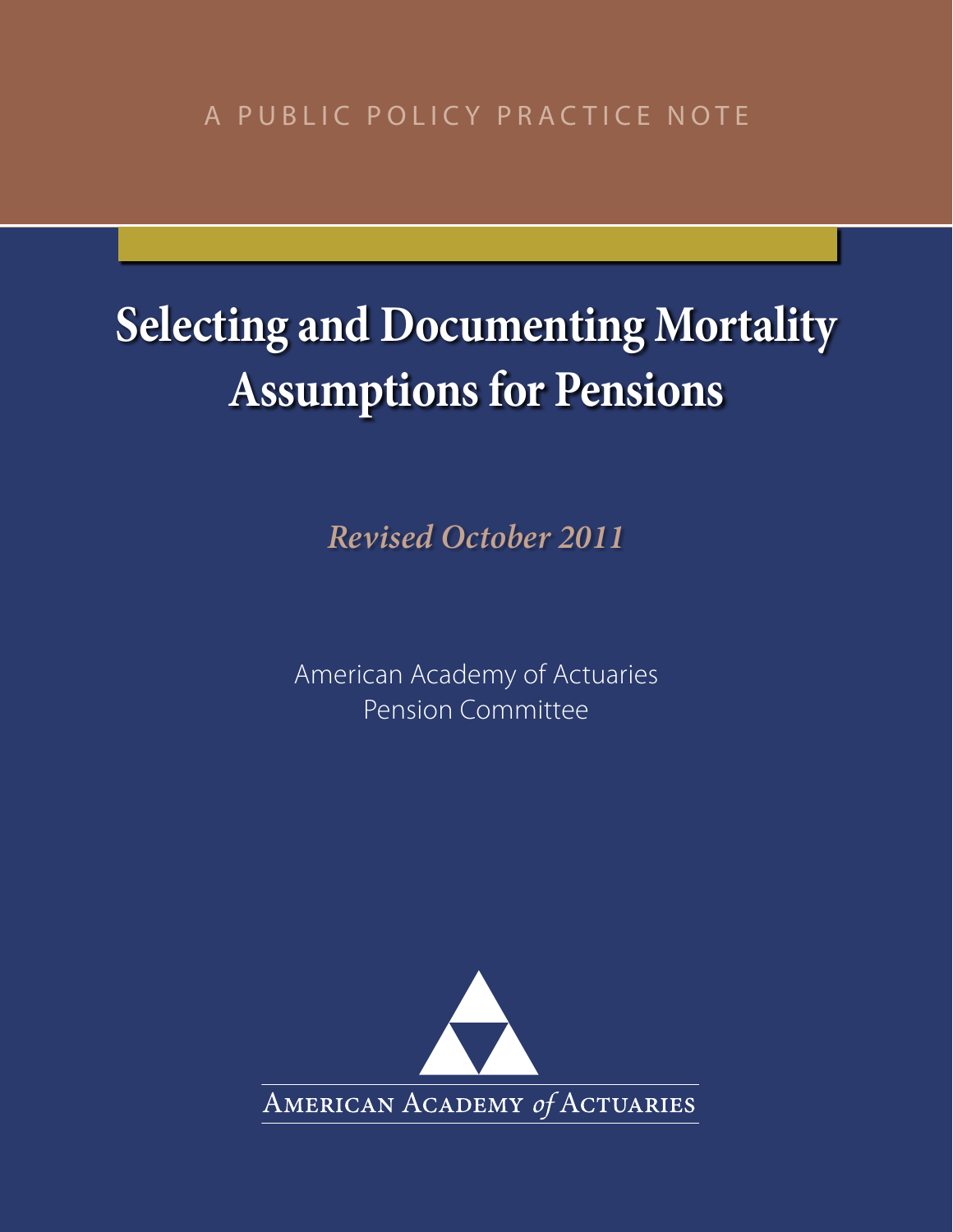A PUBLIC POLICY PRACTICE NOTE

# **Selecting and Documenting Mortality Assumptions for Pensions**

*Revised October 2011*

American Academy of Actuaries Pension Committee

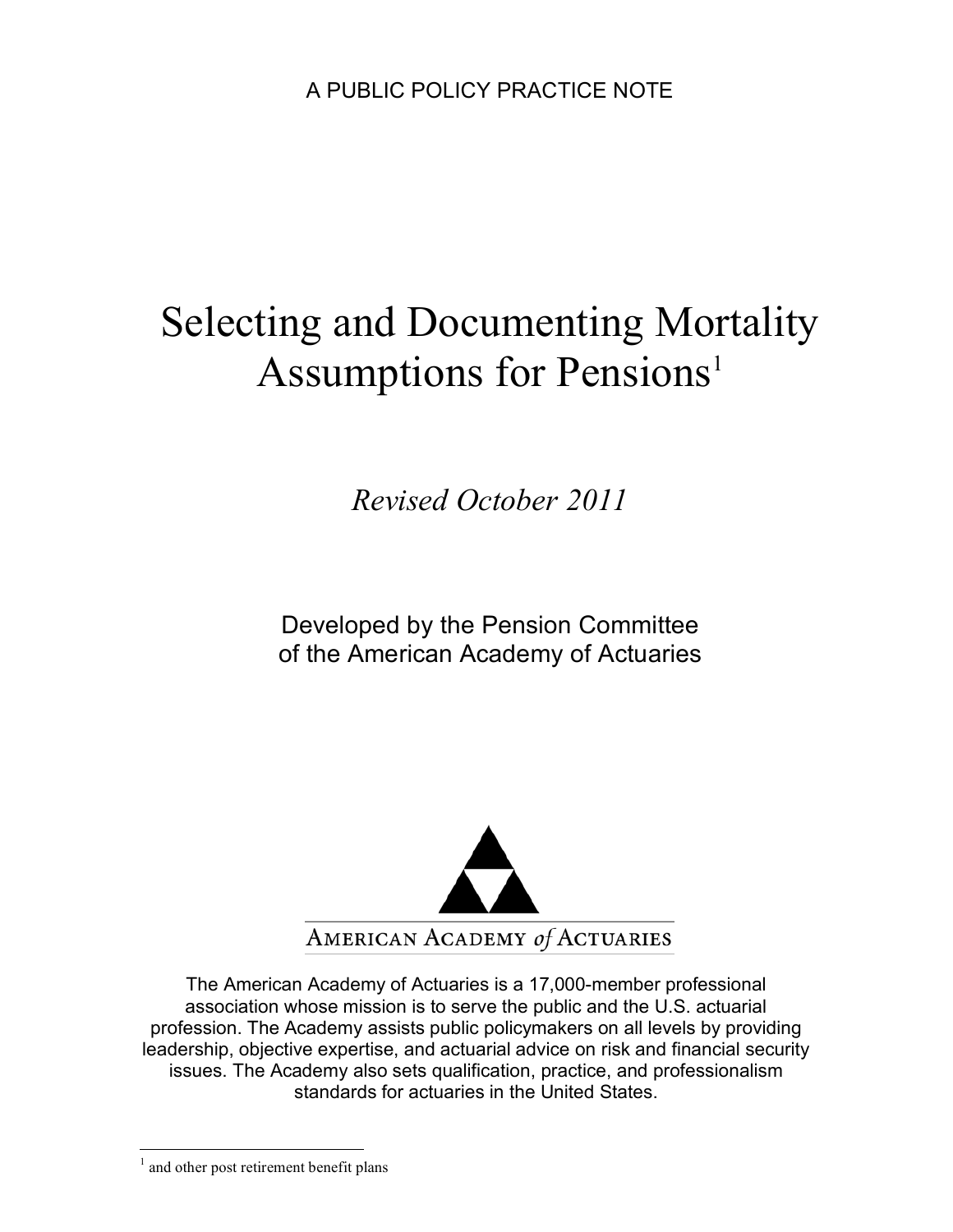# Selecting and Documenting Mortality Assumptions for Pensions<sup>1</sup>

*Revised October 2011*

Developed by the Pension Committee of the American Academy of Actuaries



The American Academy of Actuaries is a 17,000-member professional association whose mission is to serve the public and the U.S. actuarial profession. The Academy assists public policymakers on all levels by providing leadership, objective expertise, and actuarial advice on risk and financial security issues. The Academy also sets qualification, practice, and professionalism standards for actuaries in the United States.

 $\frac{1}{1}$ <sup>1</sup> and other post retirement benefit plans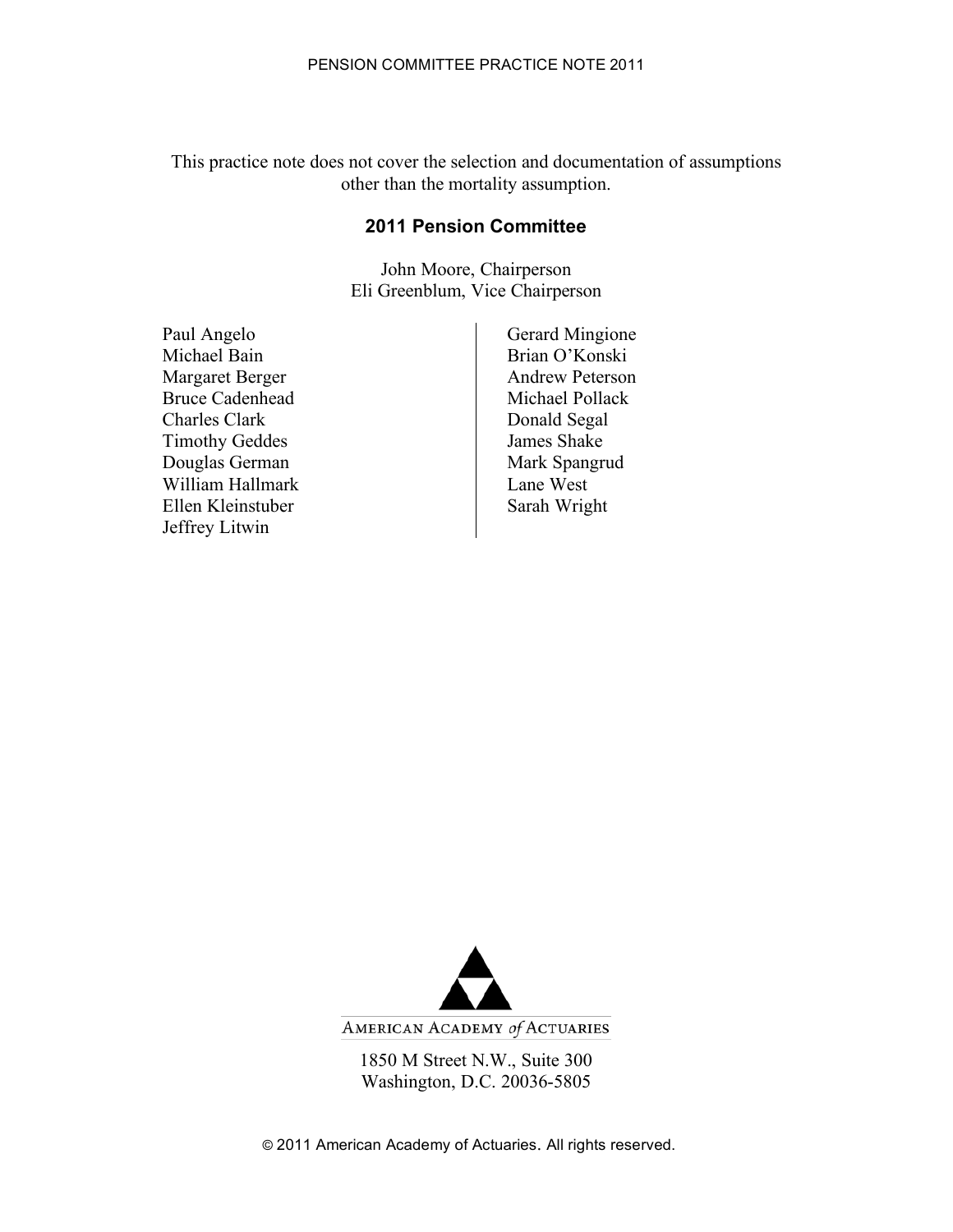This practice note does not cover the selection and documentation of assumptions other than the mortality assumption.

#### **2011 Pension Committee**

John Moore, Chairperson Eli Greenblum, Vice Chairperson

Paul Angelo Gerard Mingione Michael Bain Brian O'Konski Margaret Berger Andrew Peterson Bruce Cadenhead Michael Pollack Charles Clark Donald Segal Timothy Geddes James Shake<br>Douglas German Mark Spangrud Douglas German William Hallmark Lane West Ellen Kleinstuber **Sarah Wright** Sarah Wright Jeffrey Litwin



1850 M Street N.W., Suite 300 Washington, D.C. 20036-5805

© 2011 American Academy of Actuaries. All rights reserved.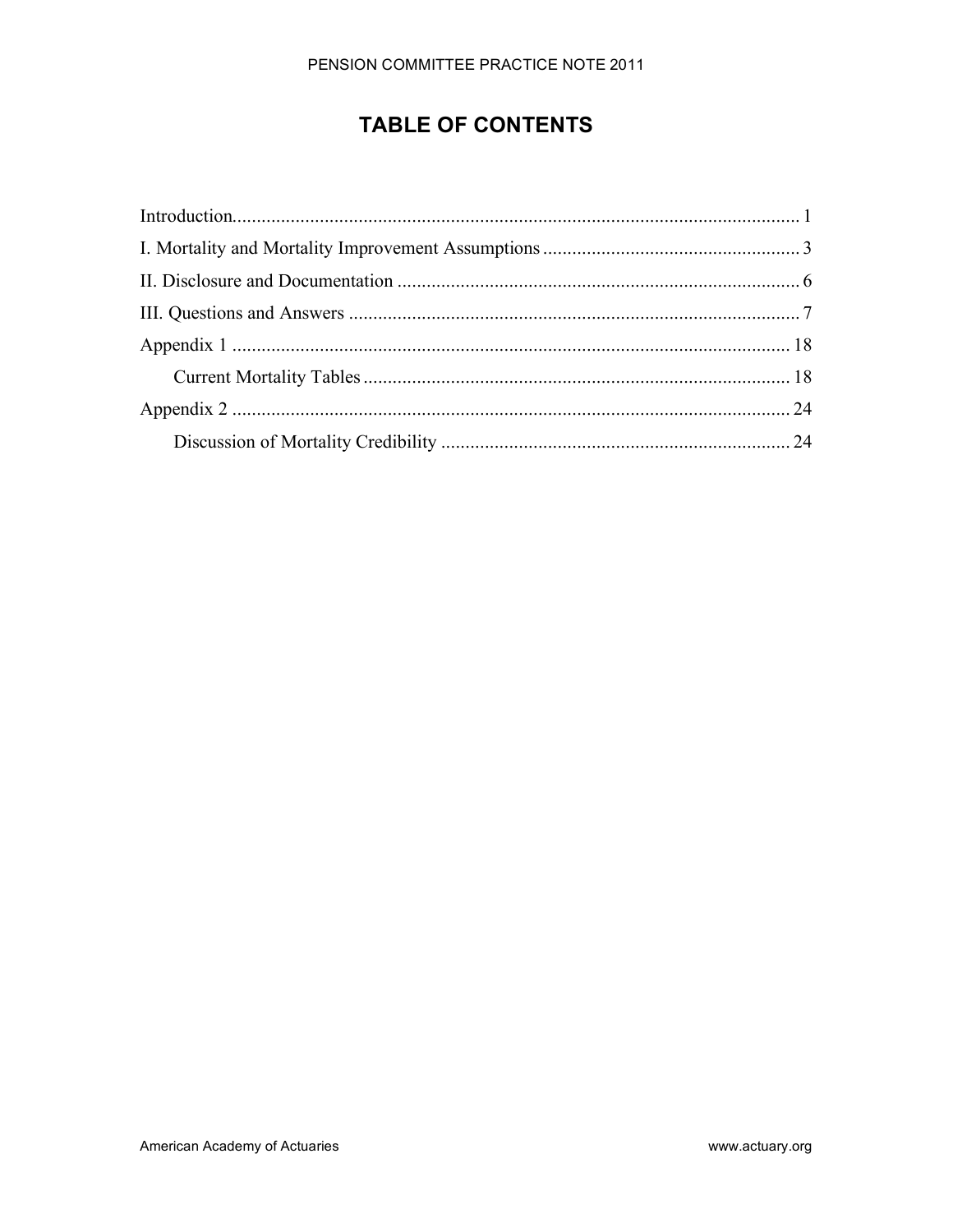# **TABLE OF CONTENTS**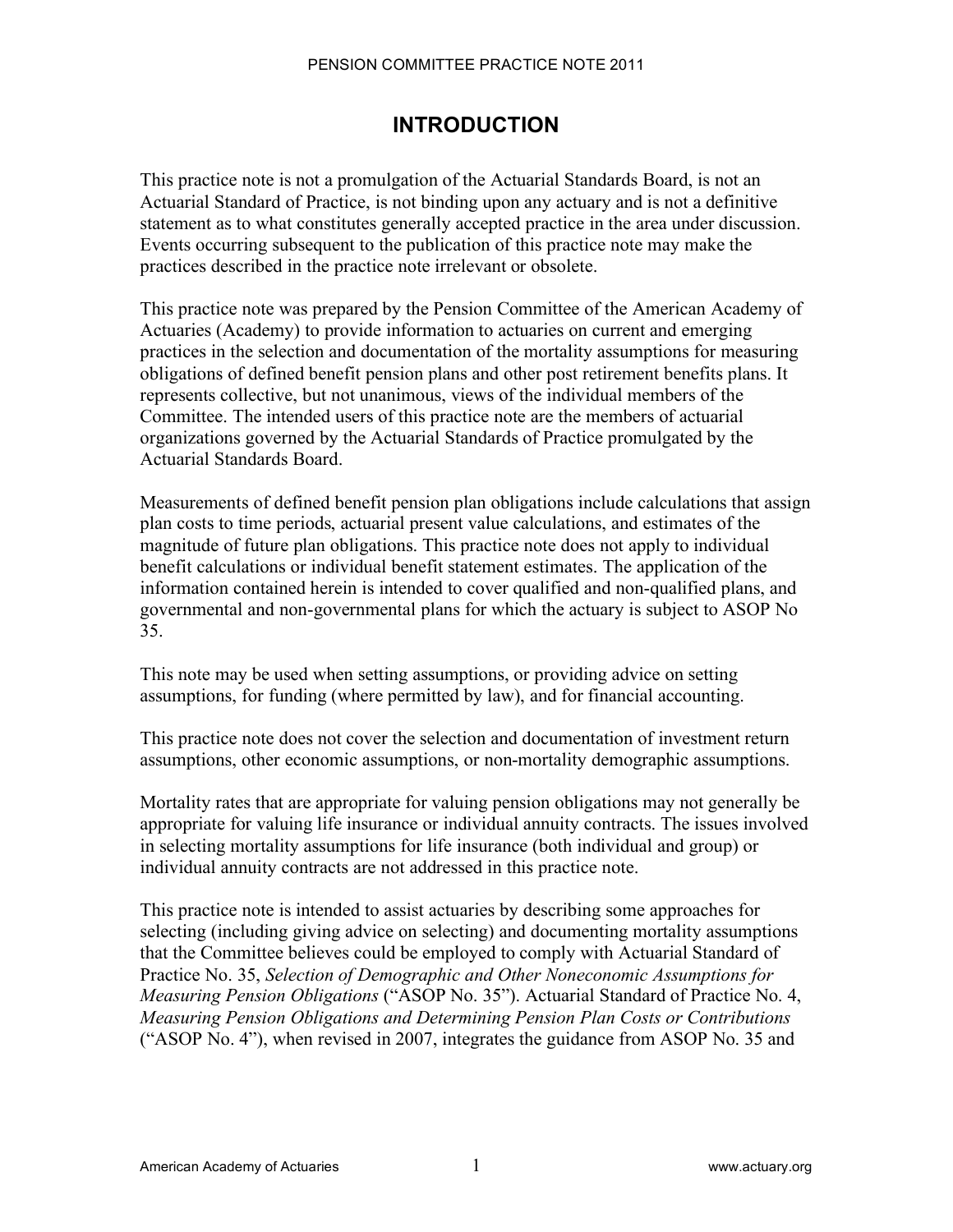## **INTRODUCTION**

This practice note is not a promulgation of the Actuarial Standards Board, is not an Actuarial Standard of Practice, is not binding upon any actuary and is not a definitive statement as to what constitutes generally accepted practice in the area under discussion. Events occurring subsequent to the publication of this practice note may make the practices described in the practice note irrelevant or obsolete.

This practice note was prepared by the Pension Committee of the American Academy of Actuaries (Academy) to provide information to actuaries on current and emerging practices in the selection and documentation of the mortality assumptions for measuring obligations of defined benefit pension plans and other post retirement benefits plans. It represents collective, but not unanimous, views of the individual members of the Committee. The intended users of this practice note are the members of actuarial organizations governed by the Actuarial Standards of Practice promulgated by the Actuarial Standards Board.

Measurements of defined benefit pension plan obligations include calculations that assign plan costs to time periods, actuarial present value calculations, and estimates of the magnitude of future plan obligations. This practice note does not apply to individual benefit calculations or individual benefit statement estimates. The application of the information contained herein is intended to cover qualified and non-qualified plans, and governmental and non-governmental plans for which the actuary is subject to ASOP No 35.

This note may be used when setting assumptions, or providing advice on setting assumptions, for funding (where permitted by law), and for financial accounting.

This practice note does not cover the selection and documentation of investment return assumptions, other economic assumptions, or non-mortality demographic assumptions.

Mortality rates that are appropriate for valuing pension obligations may not generally be appropriate for valuing life insurance or individual annuity contracts. The issues involved in selecting mortality assumptions for life insurance (both individual and group) or individual annuity contracts are not addressed in this practice note.

This practice note is intended to assist actuaries by describing some approaches for selecting (including giving advice on selecting) and documenting mortality assumptions that the Committee believes could be employed to comply with Actuarial Standard of Practice No. 35, *Selection of Demographic and Other Noneconomic Assumptions for Measuring Pension Obligations* ("ASOP No. 35"). Actuarial Standard of Practice No. 4, *Measuring Pension Obligations and Determining Pension Plan Costs or Contributions* ("ASOP No. 4"), when revised in 2007, integrates the guidance from ASOP No. 35 and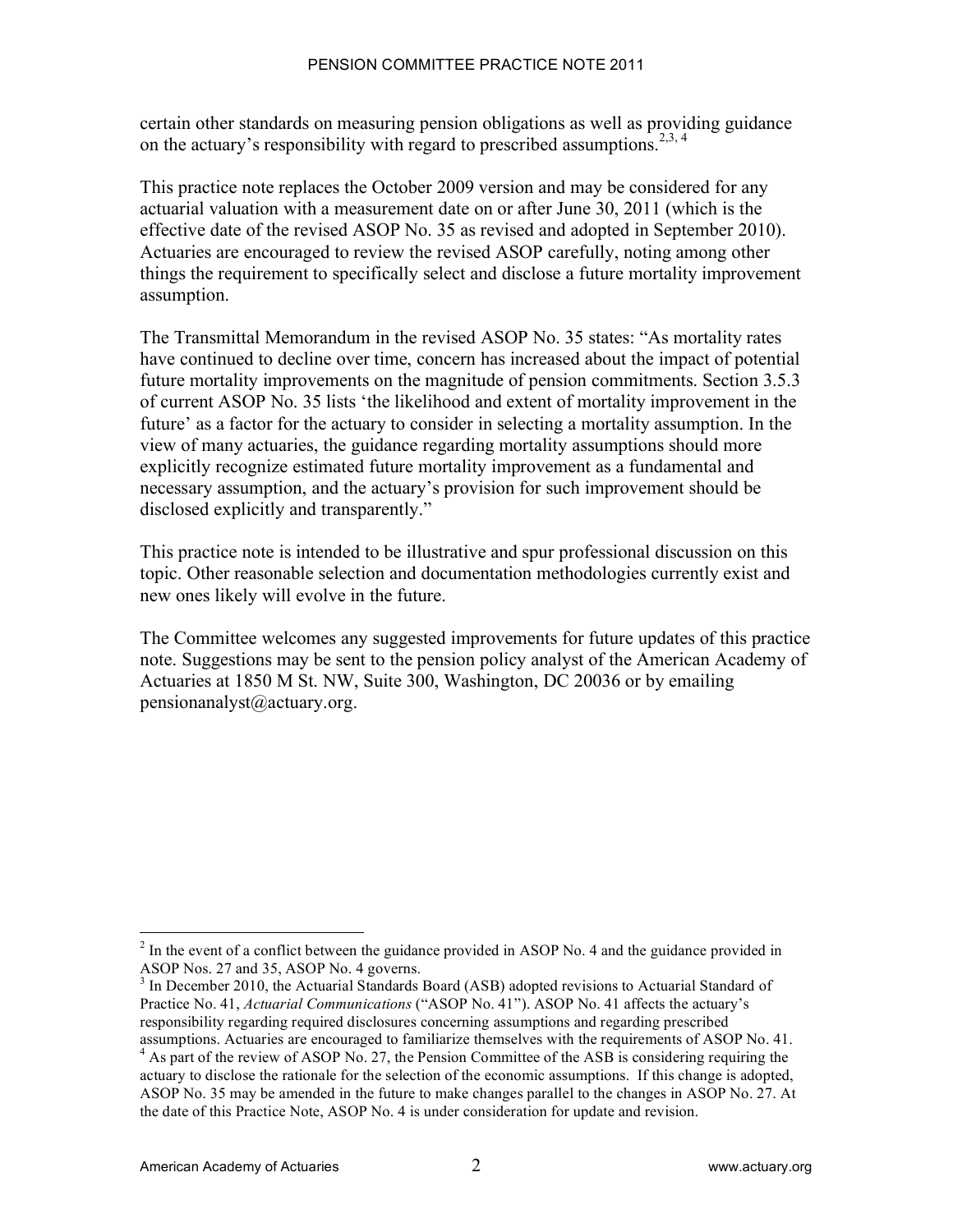certain other standards on measuring pension obligations as well as providing guidance on the actuary's responsibility with regard to prescribed assumptions.<sup>2,3, 4</sup>

This practice note replaces the October 2009 version and may be considered for any actuarial valuation with a measurement date on or after June 30, 2011 (which is the effective date of the revised ASOP No. 35 as revised and adopted in September 2010). Actuaries are encouraged to review the revised ASOP carefully, noting among other things the requirement to specifically select and disclose a future mortality improvement assumption.

The Transmittal Memorandum in the revised ASOP No. 35 states: "As mortality rates have continued to decline over time, concern has increased about the impact of potential future mortality improvements on the magnitude of pension commitments. Section 3.5.3 of current ASOP No. 35 lists 'the likelihood and extent of mortality improvement in the future' as a factor for the actuary to consider in selecting a mortality assumption. In the view of many actuaries, the guidance regarding mortality assumptions should more explicitly recognize estimated future mortality improvement as a fundamental and necessary assumption, and the actuary's provision for such improvement should be disclosed explicitly and transparently."

This practice note is intended to be illustrative and spur professional discussion on this topic. Other reasonable selection and documentation methodologies currently exist and new ones likely will evolve in the future.

The Committee welcomes any suggested improvements for future updates of this practice note. Suggestions may be sent to the pension policy analyst of the American Academy of Actuaries at 1850 M St. NW, Suite 300, Washington, DC 20036 or by emailing pensionanalyst@actuary.org.

 $\frac{1}{2}$  $<sup>2</sup>$  In the event of a conflict between the guidance provided in ASOP No. 4 and the guidance provided in</sup> ASOP Nos. 27 and 35, ASOP No. 4 governs.

<sup>&</sup>lt;sup>3</sup> In December 2010, the Actuarial Standards Board (ASB) adopted revisions to Actuarial Standard of Practice No. 41, *Actuarial Communications* ("ASOP No. 41"). ASOP No. 41 affects the actuary's responsibility regarding required disclosures concerning assumptions and regarding prescribed assumptions. Actuaries are encouraged to familiarize themselves with the requirements of ASOP No. 41.

<sup>&</sup>lt;sup>4</sup> As part of the review of ASOP No. 27, the Pension Committee of the ASB is considering requiring the actuary to disclose the rationale for the selection of the economic assumptions. If this change is adopted, ASOP No. 35 may be amended in the future to make changes parallel to the changes in ASOP No. 27. At the date of this Practice Note, ASOP No. 4 is under consideration for update and revision.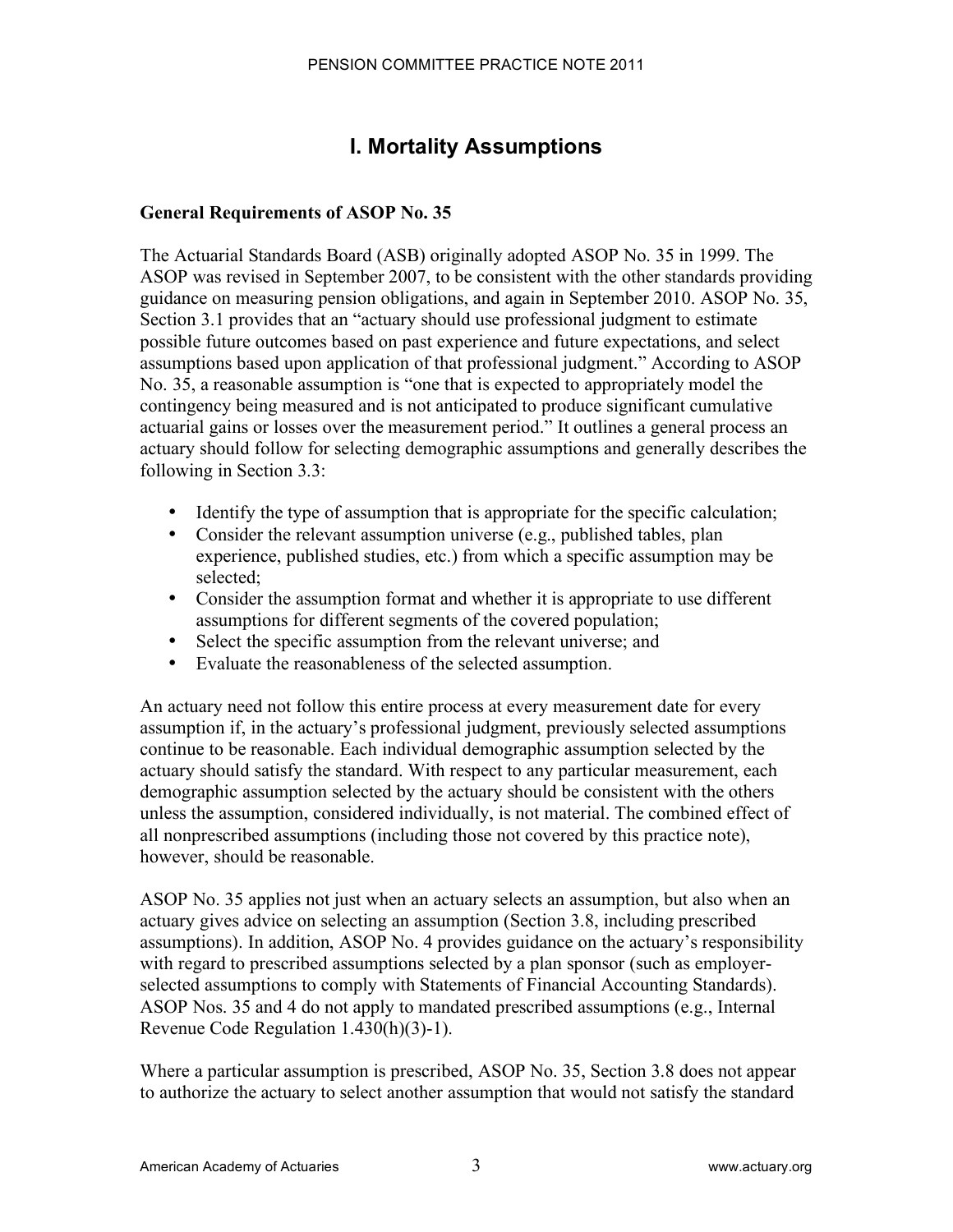# **I. Mortality Assumptions**

## **General Requirements of ASOP No. 35**

The Actuarial Standards Board (ASB) originally adopted ASOP No. 35 in 1999. The ASOP was revised in September 2007, to be consistent with the other standards providing guidance on measuring pension obligations, and again in September 2010. ASOP No. 35, Section 3.1 provides that an "actuary should use professional judgment to estimate possible future outcomes based on past experience and future expectations, and select assumptions based upon application of that professional judgment." According to ASOP No. 35, a reasonable assumption is "one that is expected to appropriately model the contingency being measured and is not anticipated to produce significant cumulative actuarial gains or losses over the measurement period." It outlines a general process an actuary should follow for selecting demographic assumptions and generally describes the following in Section 3.3:

- Identify the type of assumption that is appropriate for the specific calculation;
- Consider the relevant assumption universe (e.g., published tables, plan experience, published studies, etc.) from which a specific assumption may be selected;
- Consider the assumption format and whether it is appropriate to use different assumptions for different segments of the covered population;
- Select the specific assumption from the relevant universe; and
- Evaluate the reasonableness of the selected assumption.

An actuary need not follow this entire process at every measurement date for every assumption if, in the actuary's professional judgment, previously selected assumptions continue to be reasonable. Each individual demographic assumption selected by the actuary should satisfy the standard. With respect to any particular measurement, each demographic assumption selected by the actuary should be consistent with the others unless the assumption, considered individually, is not material. The combined effect of all nonprescribed assumptions (including those not covered by this practice note), however, should be reasonable.

ASOP No. 35 applies not just when an actuary selects an assumption, but also when an actuary gives advice on selecting an assumption (Section 3.8, including prescribed assumptions). In addition, ASOP No. 4 provides guidance on the actuary's responsibility with regard to prescribed assumptions selected by a plan sponsor (such as employerselected assumptions to comply with Statements of Financial Accounting Standards). ASOP Nos. 35 and 4 do not apply to mandated prescribed assumptions (e.g., Internal Revenue Code Regulation 1.430(h)(3)-1).

Where a particular assumption is prescribed, ASOP No. 35, Section 3.8 does not appear to authorize the actuary to select another assumption that would not satisfy the standard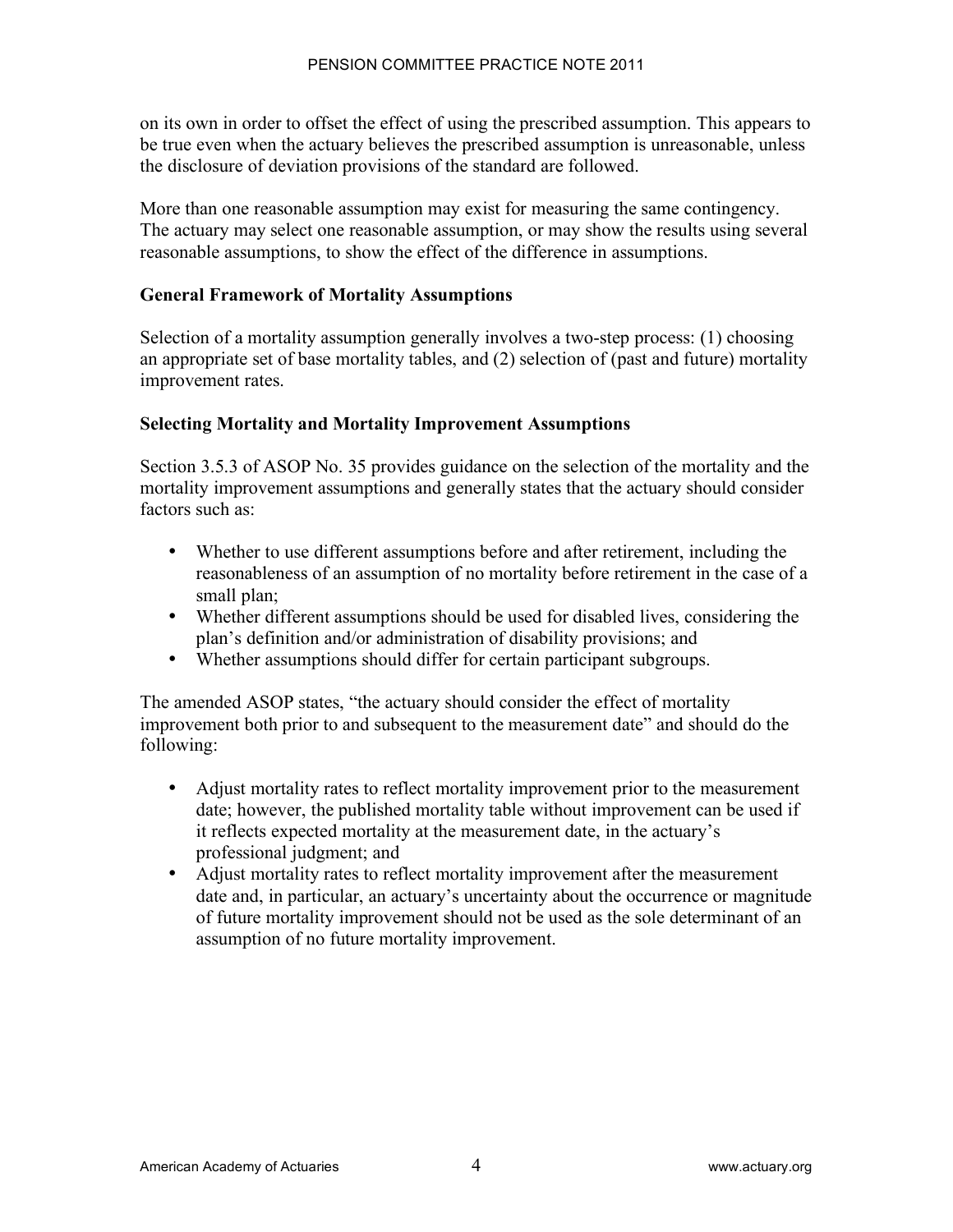on its own in order to offset the effect of using the prescribed assumption. This appears to be true even when the actuary believes the prescribed assumption is unreasonable, unless the disclosure of deviation provisions of the standard are followed.

More than one reasonable assumption may exist for measuring the same contingency. The actuary may select one reasonable assumption, or may show the results using several reasonable assumptions, to show the effect of the difference in assumptions.

#### **General Framework of Mortality Assumptions**

Selection of a mortality assumption generally involves a two-step process: (1) choosing an appropriate set of base mortality tables, and (2) selection of (past and future) mortality improvement rates.

#### **Selecting Mortality and Mortality Improvement Assumptions**

Section 3.5.3 of ASOP No. 35 provides guidance on the selection of the mortality and the mortality improvement assumptions and generally states that the actuary should consider factors such as:

- Whether to use different assumptions before and after retirement, including the reasonableness of an assumption of no mortality before retirement in the case of a small plan;
- Whether different assumptions should be used for disabled lives, considering the plan's definition and/or administration of disability provisions; and
- Whether assumptions should differ for certain participant subgroups.

The amended ASOP states, "the actuary should consider the effect of mortality improvement both prior to and subsequent to the measurement date" and should do the following:

- Adjust mortality rates to reflect mortality improvement prior to the measurement date; however, the published mortality table without improvement can be used if it reflects expected mortality at the measurement date, in the actuary's professional judgment; and
- Adjust mortality rates to reflect mortality improvement after the measurement date and, in particular, an actuary's uncertainty about the occurrence or magnitude of future mortality improvement should not be used as the sole determinant of an assumption of no future mortality improvement.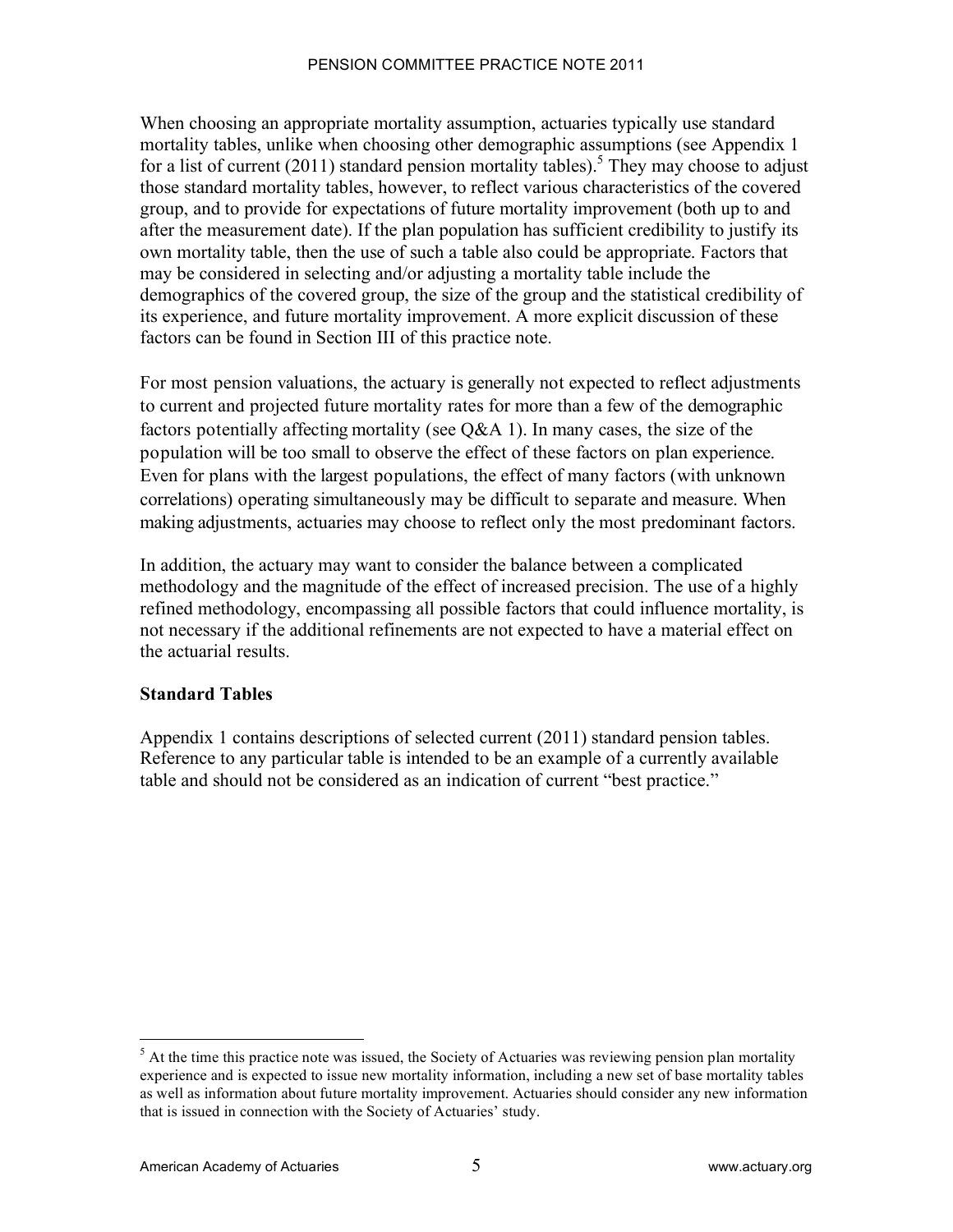When choosing an appropriate mortality assumption, actuaries typically use standard mortality tables, unlike when choosing other demographic assumptions (see Appendix 1 for a list of current  $(2011)$  standard pension mortality tables).<sup>5</sup> They may choose to adjust those standard mortality tables, however, to reflect various characteristics of the covered group, and to provide for expectations of future mortality improvement (both up to and after the measurement date). If the plan population has sufficient credibility to justify its own mortality table, then the use of such a table also could be appropriate. Factors that may be considered in selecting and/or adjusting a mortality table include the demographics of the covered group, the size of the group and the statistical credibility of its experience, and future mortality improvement. A more explicit discussion of these factors can be found in Section III of this practice note.

For most pension valuations, the actuary is generally not expected to reflect adjustments to current and projected future mortality rates for more than a few of the demographic factors potentially affecting mortality (see Q&A 1). In many cases, the size of the population will be too small to observe the effect of these factors on plan experience. Even for plans with the largest populations, the effect of many factors (with unknown correlations) operating simultaneously may be difficult to separate and measure. When making adjustments, actuaries may choose to reflect only the most predominant factors.

In addition, the actuary may want to consider the balance between a complicated methodology and the magnitude of the effect of increased precision. The use of a highly refined methodology, encompassing all possible factors that could influence mortality, is not necessary if the additional refinements are not expected to have a material effect on the actuarial results.

### **Standard Tables**

Appendix 1 contains descriptions of selected current (2011) standard pension tables. Reference to any particular table is intended to be an example of a currently available table and should not be considered as an indication of current "best practice."

 <sup>5</sup>  $<sup>5</sup>$  At the time this practice note was issued, the Society of Actuaries was reviewing pension plan mortality</sup> experience and is expected to issue new mortality information, including a new set of base mortality tables as well as information about future mortality improvement. Actuaries should consider any new information that is issued in connection with the Society of Actuaries' study.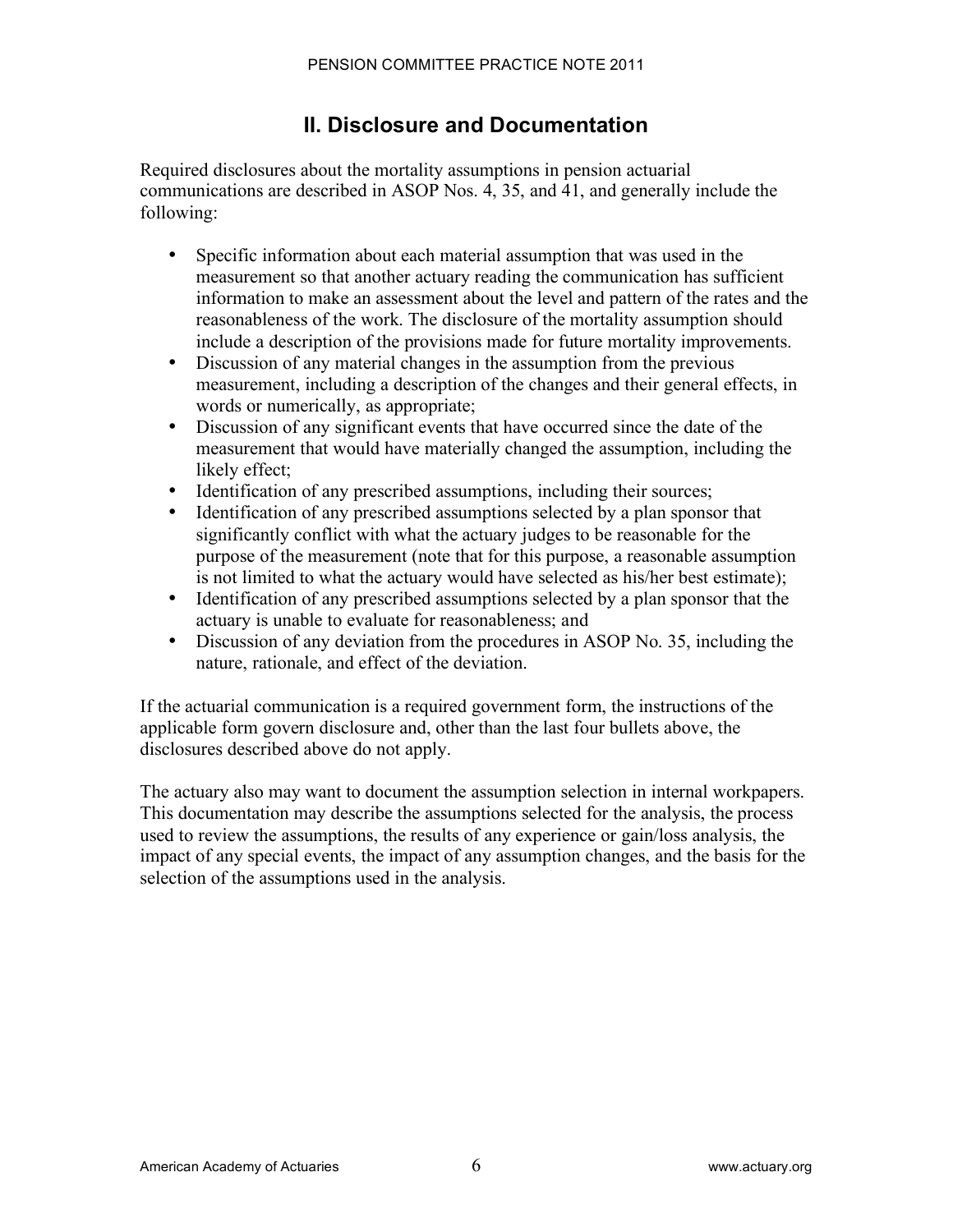# **II. Disclosure and Documentation**

Required disclosures about the mortality assumptions in pension actuarial communications are described in ASOP Nos. 4, 35, and 41, and generally include the following:

- Specific information about each material assumption that was used in the measurement so that another actuary reading the communication has sufficient information to make an assessment about the level and pattern of the rates and the reasonableness of the work. The disclosure of the mortality assumption should include a description of the provisions made for future mortality improvements.
- Discussion of any material changes in the assumption from the previous measurement, including a description of the changes and their general effects, in words or numerically, as appropriate;
- Discussion of any significant events that have occurred since the date of the measurement that would have materially changed the assumption, including the likely effect;
- Identification of any prescribed assumptions, including their sources;
- Identification of any prescribed assumptions selected by a plan sponsor that significantly conflict with what the actuary judges to be reasonable for the purpose of the measurement (note that for this purpose, a reasonable assumption is not limited to what the actuary would have selected as his/her best estimate);
- Identification of any prescribed assumptions selected by a plan sponsor that the actuary is unable to evaluate for reasonableness; and
- Discussion of any deviation from the procedures in ASOP No. 35, including the nature, rationale, and effect of the deviation.

If the actuarial communication is a required government form, the instructions of the applicable form govern disclosure and, other than the last four bullets above, the disclosures described above do not apply.

The actuary also may want to document the assumption selection in internal workpapers. This documentation may describe the assumptions selected for the analysis, the process used to review the assumptions, the results of any experience or gain/loss analysis, the impact of any special events, the impact of any assumption changes, and the basis for the selection of the assumptions used in the analysis.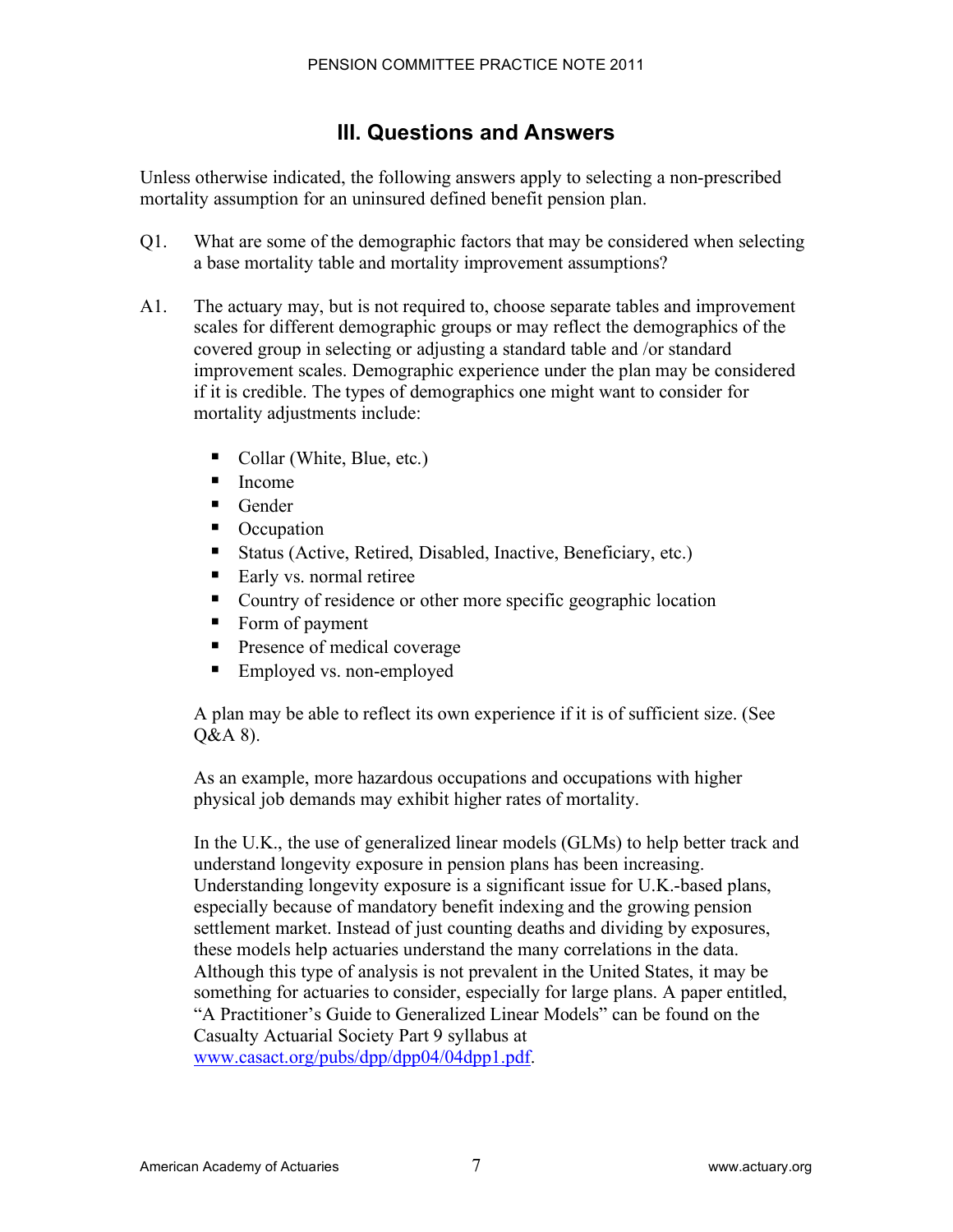# **III. Questions and Answers**

Unless otherwise indicated, the following answers apply to selecting a non-prescribed mortality assumption for an uninsured defined benefit pension plan.

- Q1. What are some of the demographic factors that may be considered when selecting a base mortality table and mortality improvement assumptions?
- A1. The actuary may, but is not required to, choose separate tables and improvement scales for different demographic groups or may reflect the demographics of the covered group in selecting or adjusting a standard table and /or standard improvement scales. Demographic experience under the plan may be considered if it is credible. The types of demographics one might want to consider for mortality adjustments include:
	- Collar (White, Blue, etc.)
	- Income
	- Gender
	- Occupation
	- ! Status (Active, Retired, Disabled, Inactive, Beneficiary, etc.)
	- Early vs. normal retiree
	- ! Country of residence or other more specific geographic location
	- Form of payment
	- **Presence of medical coverage**
	- Employed vs. non-employed

A plan may be able to reflect its own experience if it is of sufficient size. (See Q&A 8).

As an example, more hazardous occupations and occupations with higher physical job demands may exhibit higher rates of mortality.

In the U.K., the use of generalized linear models (GLMs) to help better track and understand longevity exposure in pension plans has been increasing. Understanding longevity exposure is a significant issue for U.K.-based plans, especially because of mandatory benefit indexing and the growing pension settlement market. Instead of just counting deaths and dividing by exposures, these models help actuaries understand the many correlations in the data. Although this type of analysis is not prevalent in the United States, it may be something for actuaries to consider, especially for large plans. A paper entitled, "A Practitioner's Guide to Generalized Linear Models" can be found on the Casualty Actuarial Society Part 9 syllabus at www.casact.org/pubs/dpp/dpp04/04dpp1.pdf.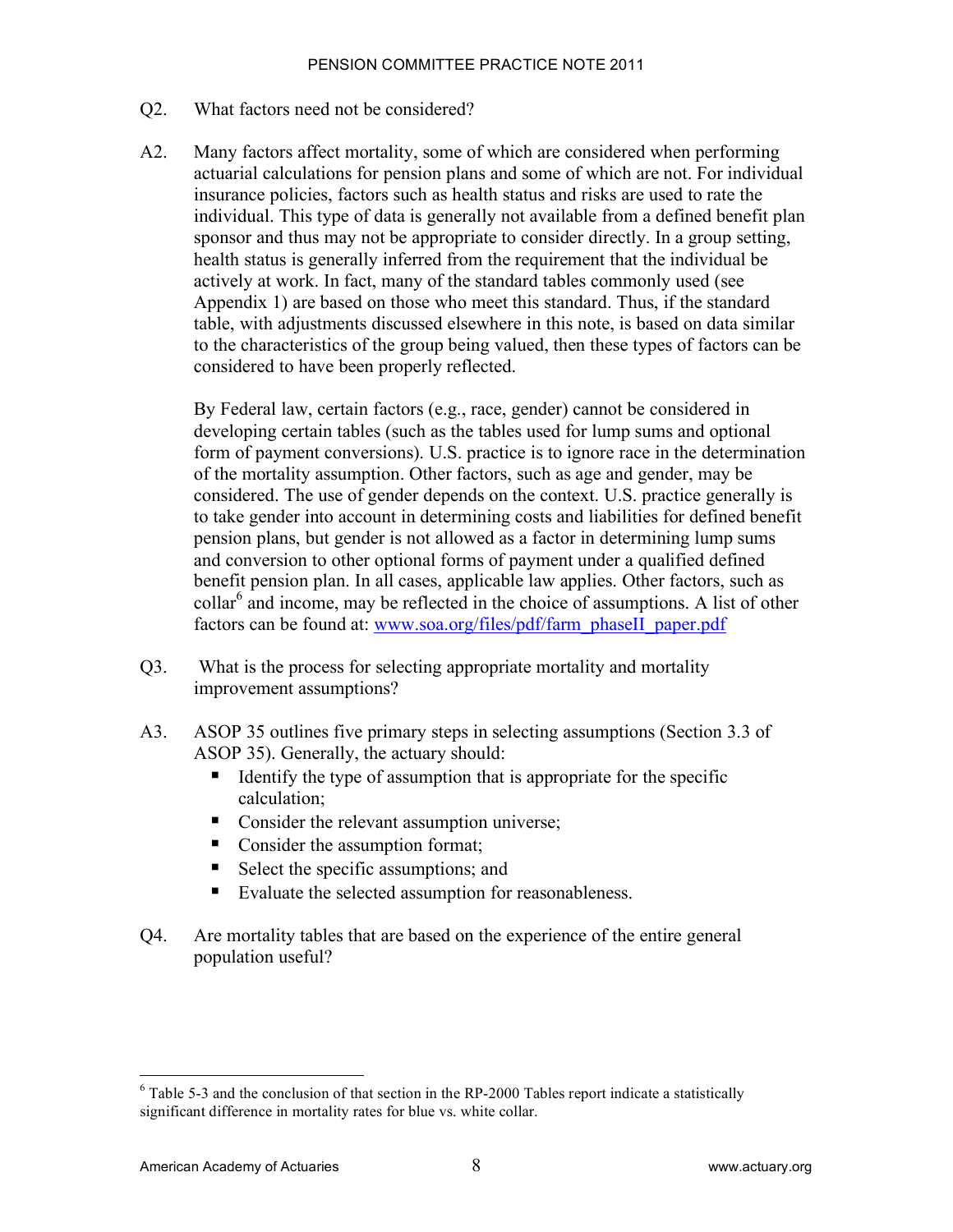#### Q2. What factors need not be considered?

A2. Many factors affect mortality, some of which are considered when performing actuarial calculations for pension plans and some of which are not. For individual insurance policies, factors such as health status and risks are used to rate the individual. This type of data is generally not available from a defined benefit plan sponsor and thus may not be appropriate to consider directly. In a group setting, health status is generally inferred from the requirement that the individual be actively at work. In fact, many of the standard tables commonly used (see Appendix 1) are based on those who meet this standard. Thus, if the standard table, with adjustments discussed elsewhere in this note, is based on data similar to the characteristics of the group being valued, then these types of factors can be considered to have been properly reflected.

By Federal law, certain factors (e.g., race, gender) cannot be considered in developing certain tables (such as the tables used for lump sums and optional form of payment conversions). U.S. practice is to ignore race in the determination of the mortality assumption. Other factors, such as age and gender, may be considered. The use of gender depends on the context. U.S. practice generally is to take gender into account in determining costs and liabilities for defined benefit pension plans, but gender is not allowed as a factor in determining lump sums and conversion to other optional forms of payment under a qualified defined benefit pension plan. In all cases, applicable law applies. Other factors, such as collar<sup>6</sup> and income, may be reflected in the choice of assumptions. A list of other factors can be found at: www.soa.org/files/pdf/farm\_phaseII\_paper.pdf

- Q3. What is the process for selecting appropriate mortality and mortality improvement assumptions?
- A3. ASOP 35 outlines five primary steps in selecting assumptions (Section 3.3 of ASOP 35). Generally, the actuary should:
	- $\blacksquare$  Identify the type of assumption that is appropriate for the specific calculation;
	- Consider the relevant assumption universe;
	- Consider the assumption format;
	- Select the specific assumptions; and
	- Evaluate the selected assumption for reasonableness.
- Q4. Are mortality tables that are based on the experience of the entire general population useful?

 <sup>6</sup>  $6$  Table 5-3 and the conclusion of that section in the RP-2000 Tables report indicate a statistically significant difference in mortality rates for blue vs. white collar.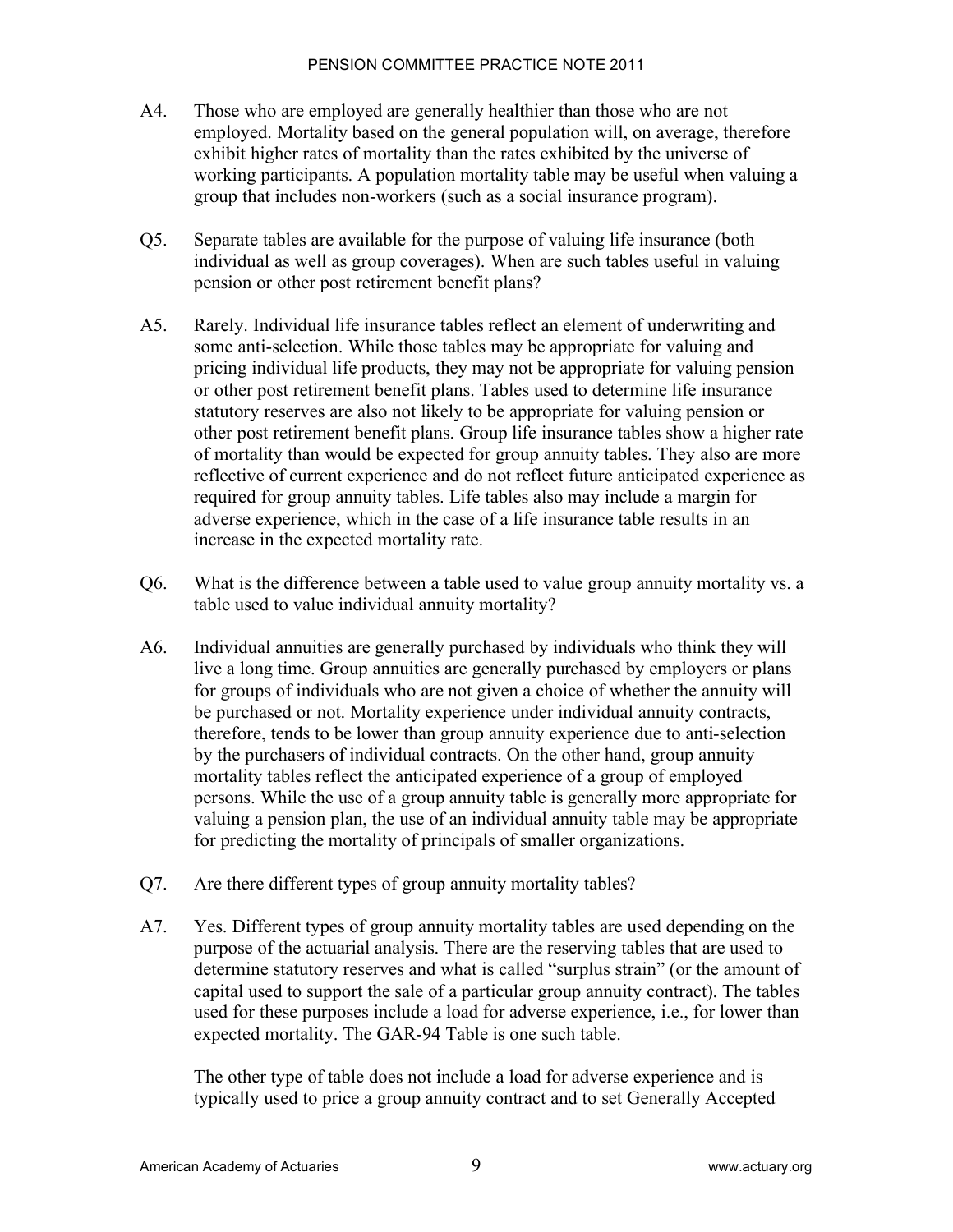- A4. Those who are employed are generally healthier than those who are not employed. Mortality based on the general population will, on average, therefore exhibit higher rates of mortality than the rates exhibited by the universe of working participants. A population mortality table may be useful when valuing a group that includes non-workers (such as a social insurance program).
- Q5. Separate tables are available for the purpose of valuing life insurance (both individual as well as group coverages). When are such tables useful in valuing pension or other post retirement benefit plans?
- A5. Rarely. Individual life insurance tables reflect an element of underwriting and some anti-selection. While those tables may be appropriate for valuing and pricing individual life products, they may not be appropriate for valuing pension or other post retirement benefit plans. Tables used to determine life insurance statutory reserves are also not likely to be appropriate for valuing pension or other post retirement benefit plans. Group life insurance tables show a higher rate of mortality than would be expected for group annuity tables. They also are more reflective of current experience and do not reflect future anticipated experience as required for group annuity tables. Life tables also may include a margin for adverse experience, which in the case of a life insurance table results in an increase in the expected mortality rate.
- Q6. What is the difference between a table used to value group annuity mortality vs. a table used to value individual annuity mortality?
- A6. Individual annuities are generally purchased by individuals who think they will live a long time. Group annuities are generally purchased by employers or plans for groups of individuals who are not given a choice of whether the annuity will be purchased or not. Mortality experience under individual annuity contracts, therefore, tends to be lower than group annuity experience due to anti-selection by the purchasers of individual contracts. On the other hand, group annuity mortality tables reflect the anticipated experience of a group of employed persons. While the use of a group annuity table is generally more appropriate for valuing a pension plan, the use of an individual annuity table may be appropriate for predicting the mortality of principals of smaller organizations.
- Q7. Are there different types of group annuity mortality tables?
- A7. Yes. Different types of group annuity mortality tables are used depending on the purpose of the actuarial analysis. There are the reserving tables that are used to determine statutory reserves and what is called "surplus strain" (or the amount of capital used to support the sale of a particular group annuity contract). The tables used for these purposes include a load for adverse experience, i.e., for lower than expected mortality. The GAR-94 Table is one such table.

The other type of table does not include a load for adverse experience and is typically used to price a group annuity contract and to set Generally Accepted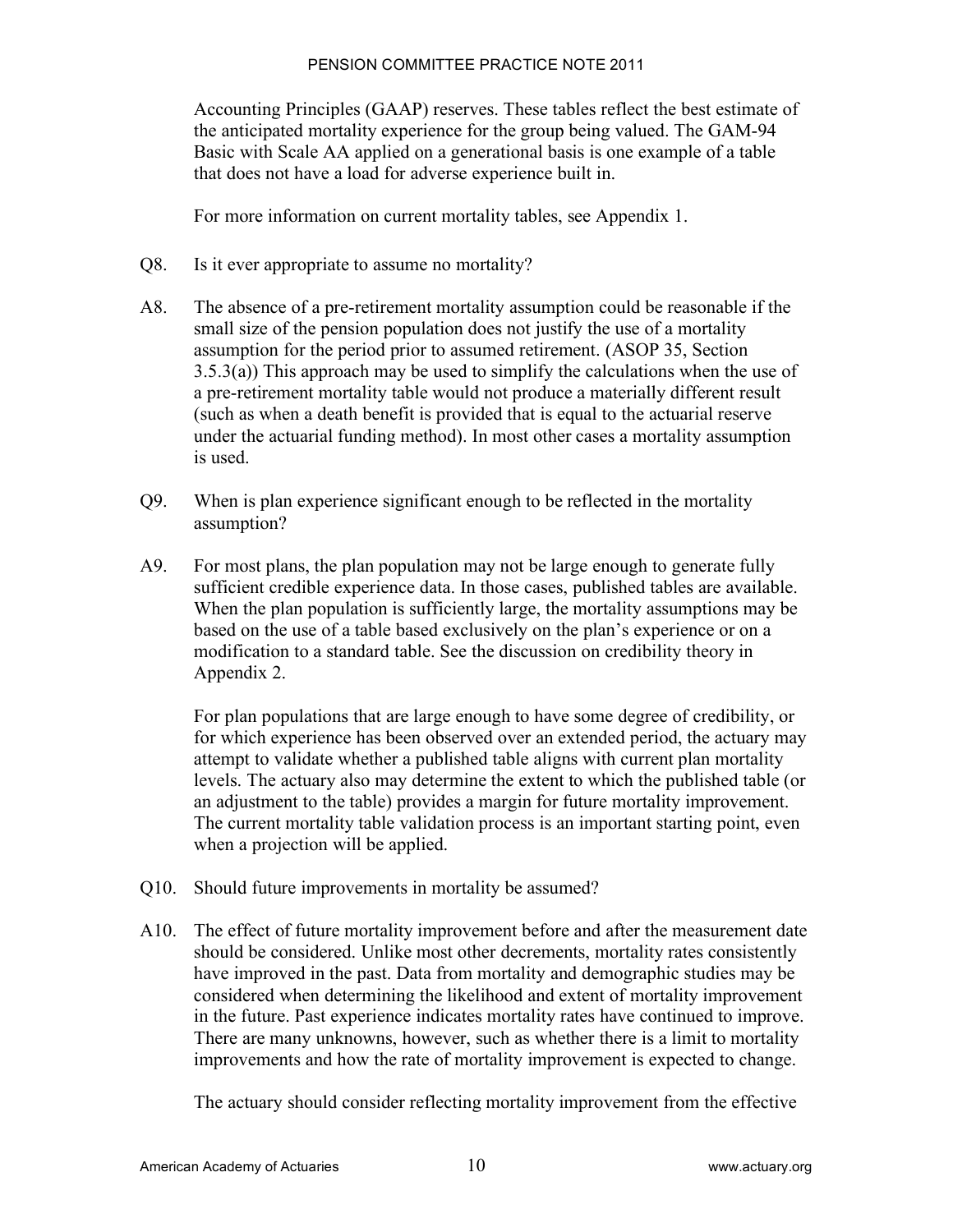Accounting Principles (GAAP) reserves. These tables reflect the best estimate of the anticipated mortality experience for the group being valued. The GAM-94 Basic with Scale AA applied on a generational basis is one example of a table that does not have a load for adverse experience built in.

For more information on current mortality tables, see Appendix 1.

- Q8. Is it ever appropriate to assume no mortality?
- A8. The absence of a pre-retirement mortality assumption could be reasonable if the small size of the pension population does not justify the use of a mortality assumption for the period prior to assumed retirement. (ASOP 35, Section  $3.5.3(a)$ ) This approach may be used to simplify the calculations when the use of a pre-retirement mortality table would not produce a materially different result (such as when a death benefit is provided that is equal to the actuarial reserve under the actuarial funding method). In most other cases a mortality assumption is used.
- Q9. When is plan experience significant enough to be reflected in the mortality assumption?
- A9. For most plans, the plan population may not be large enough to generate fully sufficient credible experience data. In those cases, published tables are available. When the plan population is sufficiently large, the mortality assumptions may be based on the use of a table based exclusively on the plan's experience or on a modification to a standard table. See the discussion on credibility theory in Appendix 2.

For plan populations that are large enough to have some degree of credibility, or for which experience has been observed over an extended period, the actuary may attempt to validate whether a published table aligns with current plan mortality levels. The actuary also may determine the extent to which the published table (or an adjustment to the table) provides a margin for future mortality improvement. The current mortality table validation process is an important starting point, even when a projection will be applied.

- Q10. Should future improvements in mortality be assumed?
- A10. The effect of future mortality improvement before and after the measurement date should be considered. Unlike most other decrements, mortality rates consistently have improved in the past. Data from mortality and demographic studies may be considered when determining the likelihood and extent of mortality improvement in the future. Past experience indicates mortality rates have continued to improve. There are many unknowns, however, such as whether there is a limit to mortality improvements and how the rate of mortality improvement is expected to change.

The actuary should consider reflecting mortality improvement from the effective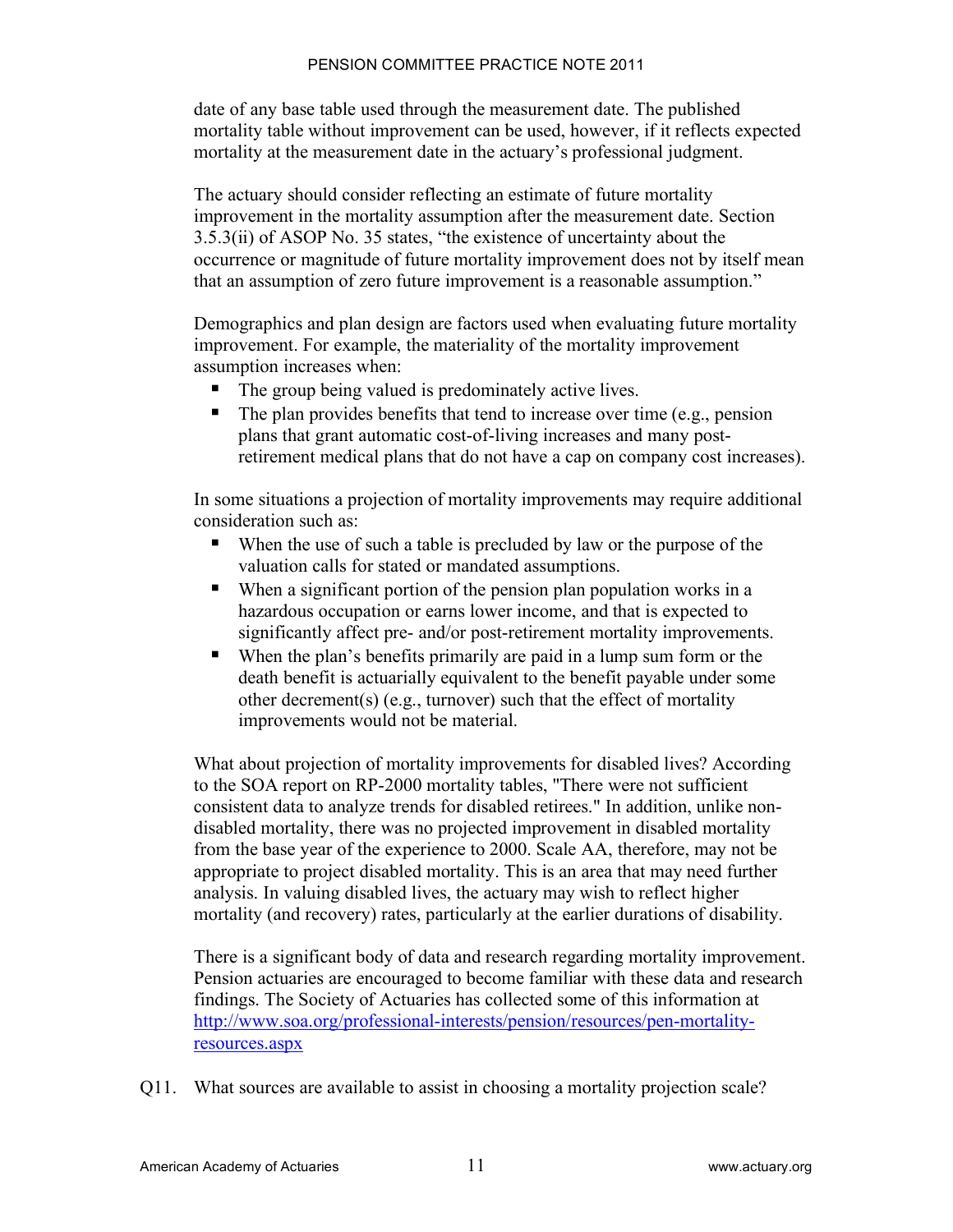date of any base table used through the measurement date. The published mortality table without improvement can be used, however, if it reflects expected mortality at the measurement date in the actuary's professional judgment.

The actuary should consider reflecting an estimate of future mortality improvement in the mortality assumption after the measurement date. Section 3.5.3(ii) of ASOP No. 35 states, "the existence of uncertainty about the occurrence or magnitude of future mortality improvement does not by itself mean that an assumption of zero future improvement is a reasonable assumption."

Demographics and plan design are factors used when evaluating future mortality improvement. For example, the materiality of the mortality improvement assumption increases when:

- The group being valued is predominately active lives.
- ! The plan provides benefits that tend to increase over time (e.g., pension plans that grant automatic cost-of-living increases and many postretirement medical plans that do not have a cap on company cost increases).

In some situations a projection of mortality improvements may require additional consideration such as:

- When the use of such a table is precluded by law or the purpose of the valuation calls for stated or mandated assumptions.
- ! When a significant portion of the pension plan population works in a hazardous occupation or earns lower income, and that is expected to significantly affect pre- and/or post-retirement mortality improvements.
- ! When the plan's benefits primarily are paid in a lump sum form or the death benefit is actuarially equivalent to the benefit payable under some other decrement(s) (e.g., turnover) such that the effect of mortality improvements would not be material.

What about projection of mortality improvements for disabled lives? According to the SOA report on RP-2000 mortality tables, "There were not sufficient consistent data to analyze trends for disabled retirees." In addition, unlike nondisabled mortality, there was no projected improvement in disabled mortality from the base year of the experience to 2000. Scale AA, therefore, may not be appropriate to project disabled mortality. This is an area that may need further analysis. In valuing disabled lives, the actuary may wish to reflect higher mortality (and recovery) rates, particularly at the earlier durations of disability.

There is a significant body of data and research regarding mortality improvement. Pension actuaries are encouraged to become familiar with these data and research findings. The Society of Actuaries has collected some of this information at http://www.soa.org/professional-interests/pension/resources/pen-mortalityresources.aspx

Q11. What sources are available to assist in choosing a mortality projection scale?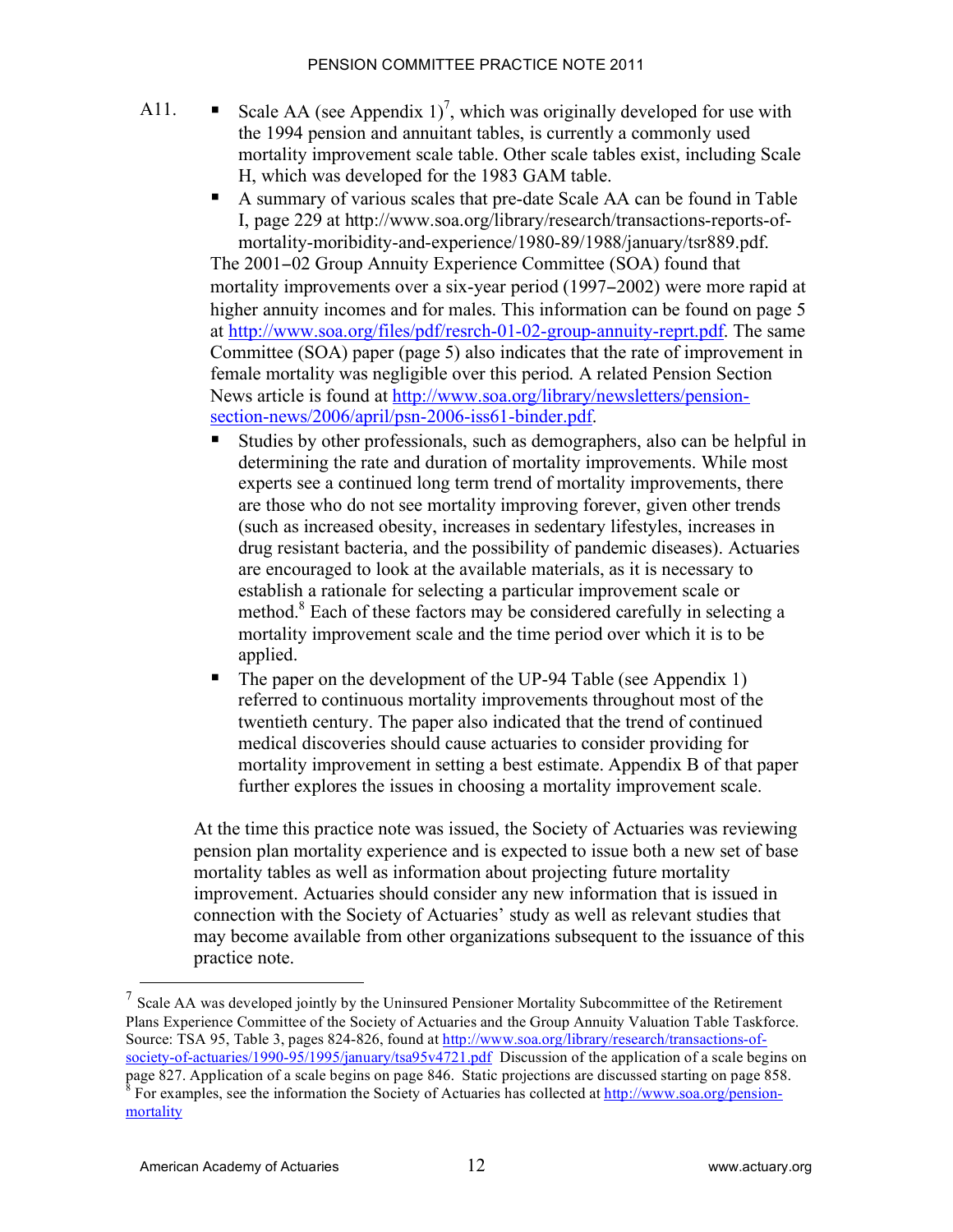- A11. Scale AA (see Appendix 1)<sup>7</sup>, which was originally developed for use with the 1994 pension and annuitant tables, is currently a commonly used mortality improvement scale table. Other scale tables exist, including Scale H, which was developed for the 1983 GAM table.
	- ! A summary of various scales that pre-date Scale AA can be found in Table I, page 229 at http://www.soa.org/library/research/transactions-reports-ofmortality-moribidity-and-experience/1980-89/1988/january/tsr889.pdf.

The 2001-02 Group Annuity Experience Committee (SOA) found that mortality improvements over a six-year period (1997–2002) were more rapid at higher annuity incomes and for males. This information can be found on page 5 at http://www.soa.org/files/pdf/resrch-01-02-group-annuity-reprt.pdf. The same Committee (SOA) paper (page 5) also indicates that the rate of improvement in female mortality was negligible over this period. A related Pension Section News article is found at http://www.soa.org/library/newsletters/pensionsection-news/2006/april/psn-2006-iss61-binder.pdf.

- Studies by other professionals, such as demographers, also can be helpful in determining the rate and duration of mortality improvements. While most experts see a continued long term trend of mortality improvements, there are those who do not see mortality improving forever, given other trends (such as increased obesity, increases in sedentary lifestyles, increases in drug resistant bacteria, and the possibility of pandemic diseases). Actuaries are encouraged to look at the available materials, as it is necessary to establish a rationale for selecting a particular improvement scale or method.<sup>8</sup> Each of these factors may be considered carefully in selecting a mortality improvement scale and the time period over which it is to be applied.
- $\blacksquare$  The paper on the development of the UP-94 Table (see Appendix 1) referred to continuous mortality improvements throughout most of the twentieth century. The paper also indicated that the trend of continued medical discoveries should cause actuaries to consider providing for mortality improvement in setting a best estimate. Appendix B of that paper further explores the issues in choosing a mortality improvement scale.

At the time this practice note was issued, the Society of Actuaries was reviewing pension plan mortality experience and is expected to issue both a new set of base mortality tables as well as information about projecting future mortality improvement. Actuaries should consider any new information that is issued in connection with the Society of Actuaries' study as well as relevant studies that may become available from other organizations subsequent to the issuance of this practice note.

 $<sup>7</sup>$  Scale AA was developed jointly by the Uninsured Pensioner Mortality Subcommittee of the Retirement</sup> Plans Experience Committee of the Society of Actuaries and the Group Annuity Valuation Table Taskforce. Source: TSA 95, Table 3, pages 824-826, found at http://www.soa.org/library/research/transactions-ofsociety-of-actuaries/1990-95/1995/january/tsa95v4721.pdf Discussion of the application of a scale begins on

page 827. Application of a scale begins on page 846. Static projections are discussed starting on page 858.  $^8$  For examples, see the information the Society of Actuaries has collected at  $\frac{http://www.soa.org/pension-1}{http://www.soa.org/pension-1}$ mortality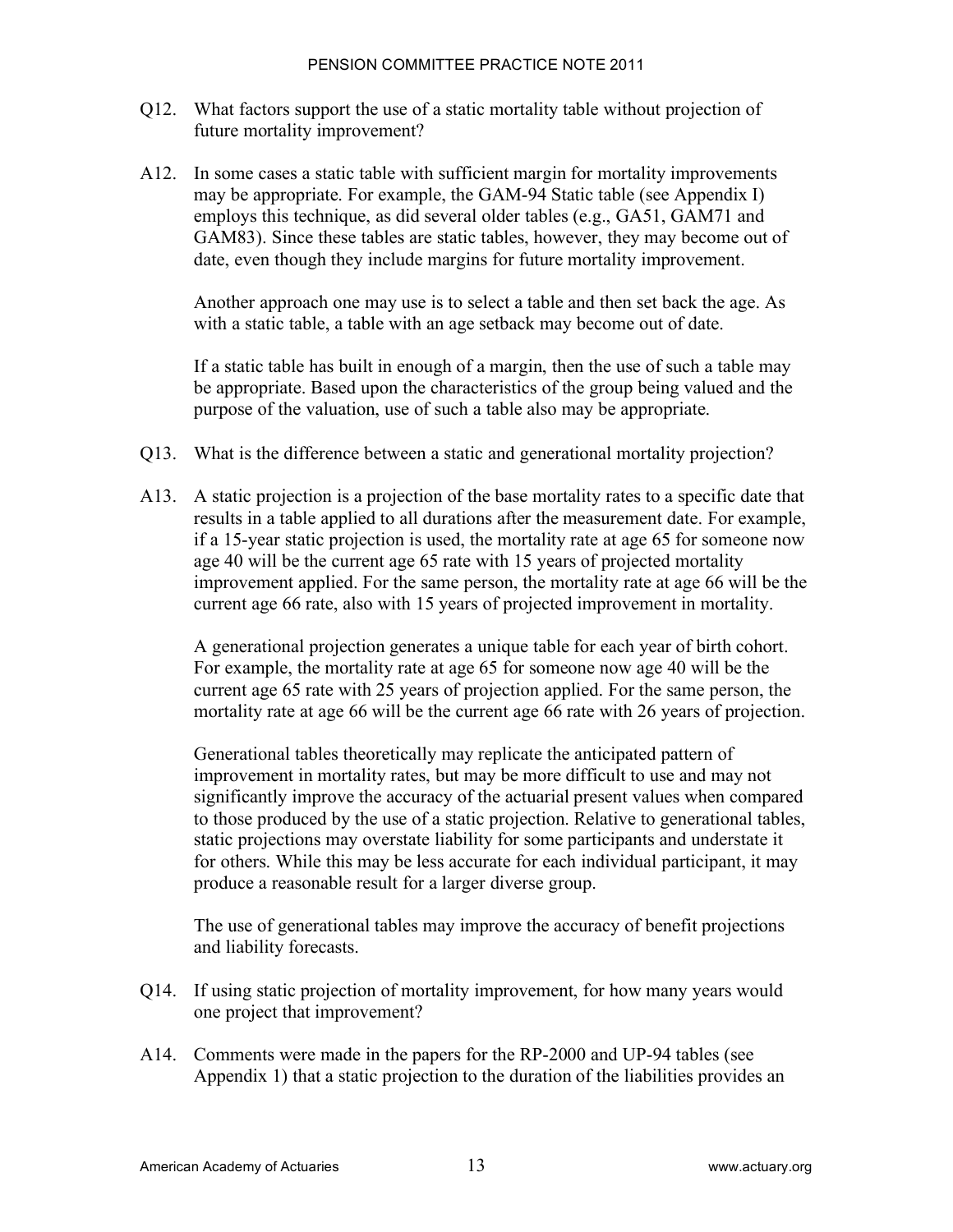- Q12. What factors support the use of a static mortality table without projection of future mortality improvement?
- A12. In some cases a static table with sufficient margin for mortality improvements may be appropriate. For example, the GAM-94 Static table (see Appendix I) employs this technique, as did several older tables (e.g., GA51, GAM71 and GAM83). Since these tables are static tables, however, they may become out of date, even though they include margins for future mortality improvement.

Another approach one may use is to select a table and then set back the age. As with a static table, a table with an age setback may become out of date.

If a static table has built in enough of a margin, then the use of such a table may be appropriate. Based upon the characteristics of the group being valued and the purpose of the valuation, use of such a table also may be appropriate.

- Q13. What is the difference between a static and generational mortality projection?
- A13. A static projection is a projection of the base mortality rates to a specific date that results in a table applied to all durations after the measurement date. For example, if a 15-year static projection is used, the mortality rate at age 65 for someone now age 40 will be the current age 65 rate with 15 years of projected mortality improvement applied. For the same person, the mortality rate at age 66 will be the current age 66 rate, also with 15 years of projected improvement in mortality.

A generational projection generates a unique table for each year of birth cohort. For example, the mortality rate at age 65 for someone now age 40 will be the current age 65 rate with 25 years of projection applied. For the same person, the mortality rate at age 66 will be the current age 66 rate with 26 years of projection.

Generational tables theoretically may replicate the anticipated pattern of improvement in mortality rates, but may be more difficult to use and may not significantly improve the accuracy of the actuarial present values when compared to those produced by the use of a static projection. Relative to generational tables, static projections may overstate liability for some participants and understate it for others. While this may be less accurate for each individual participant, it may produce a reasonable result for a larger diverse group.

The use of generational tables may improve the accuracy of benefit projections and liability forecasts.

- Q14. If using static projection of mortality improvement, for how many years would one project that improvement?
- A14. Comments were made in the papers for the RP-2000 and UP-94 tables (see Appendix 1) that a static projection to the duration of the liabilities provides an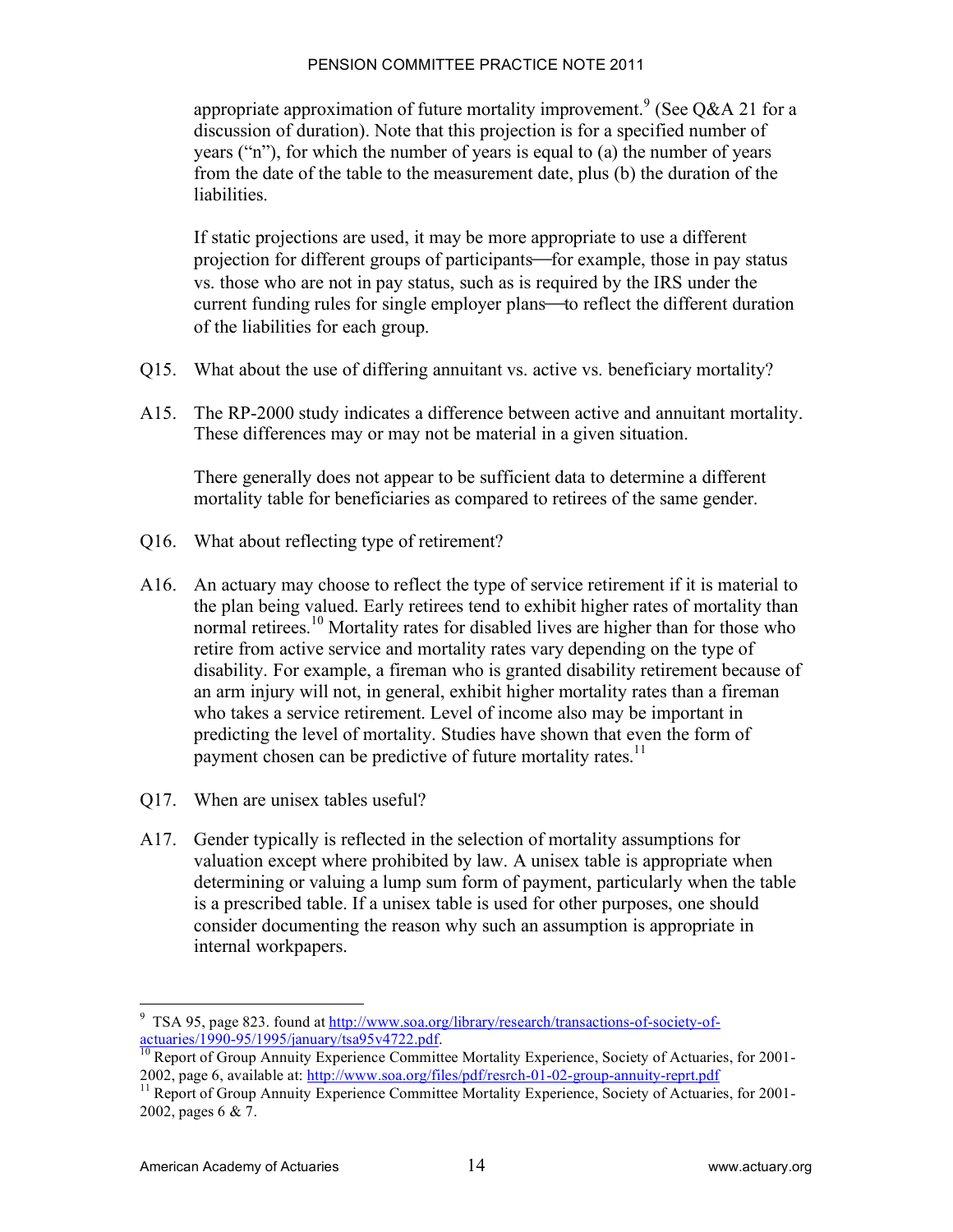appropriate approximation of future mortality improvement.<sup>9</sup> (See Q&A 21 for a discussion of duration). Note that this projection is for a specified number of years ("n"), for which the number of years is equal to (a) the number of years from the date of the table to the measurement date, plus (b) the duration of the liabilities.

If static projections are used, it may be more appropriate to use a different projection for different groups of participants—for example, those in pay status vs. those who are not in pay status, such as is required by the IRS under the current funding rules for single employer plans—to reflect the different duration of the liabilities for each group.

- Q15. What about the use of differing annuitant vs. active vs. beneficiary mortality?
- A15. The RP-2000 study indicates a difference between active and annuitant mortality. These differences may or may not be material in a given situation.

There generally does not appear to be sufficient data to determine a different mortality table for beneficiaries as compared to retirees of the same gender.

- Q16. What about reflecting type of retirement?
- A16. An actuary may choose to reflect the type of service retirement if it is material to the plan being valued. Early retirees tend to exhibit higher rates of mortality than normal retirees.<sup>10</sup> Mortality rates for disabled lives are higher than for those who retire from active service and mortality rates vary depending on the type of disability. For example, a fireman who is granted disability retirement because of an arm injury will not, in general, exhibit higher mortality rates than a fireman who takes a service retirement. Level of income also may be important in predicting the level of mortality. Studies have shown that even the form of payment chosen can be predictive of future mortality rates.<sup>11</sup>
- Q17. When are unisex tables useful?
- A17. Gender typically is reflected in the selection of mortality assumptions for valuation except where prohibited by law. A unisex table is appropriate when determining or valuing a lump sum form of payment, particularly when the table is a prescribed table. If a unisex table is used for other purposes, one should consider documenting the reason why such an assumption is appropriate in internal workpapers.

<sup>-&</sup>lt;br>9 <sup>9</sup> TSA 95, page 823. found at  $\frac{http://www.soa.org/library/research/transactions-of-society-of-actuaries/1990-95/1995/ianuary/fsa95y4722.pdf.$ 

<sup>&</sup>lt;sup>10</sup> Report of Group Annuity Experience Committee Mortality Experience, Society of Actuaries, for 2001-2002, page 6, available at: http://www.soa.org/files/pdf/resrch-01-02-group-annuity-reprt.pdf<br><sup>11</sup> Report of Group Annuity Experience Committee Mortality Experience, Society of Actuaries, for 2001-

<sup>2002,</sup> pages 6 & 7.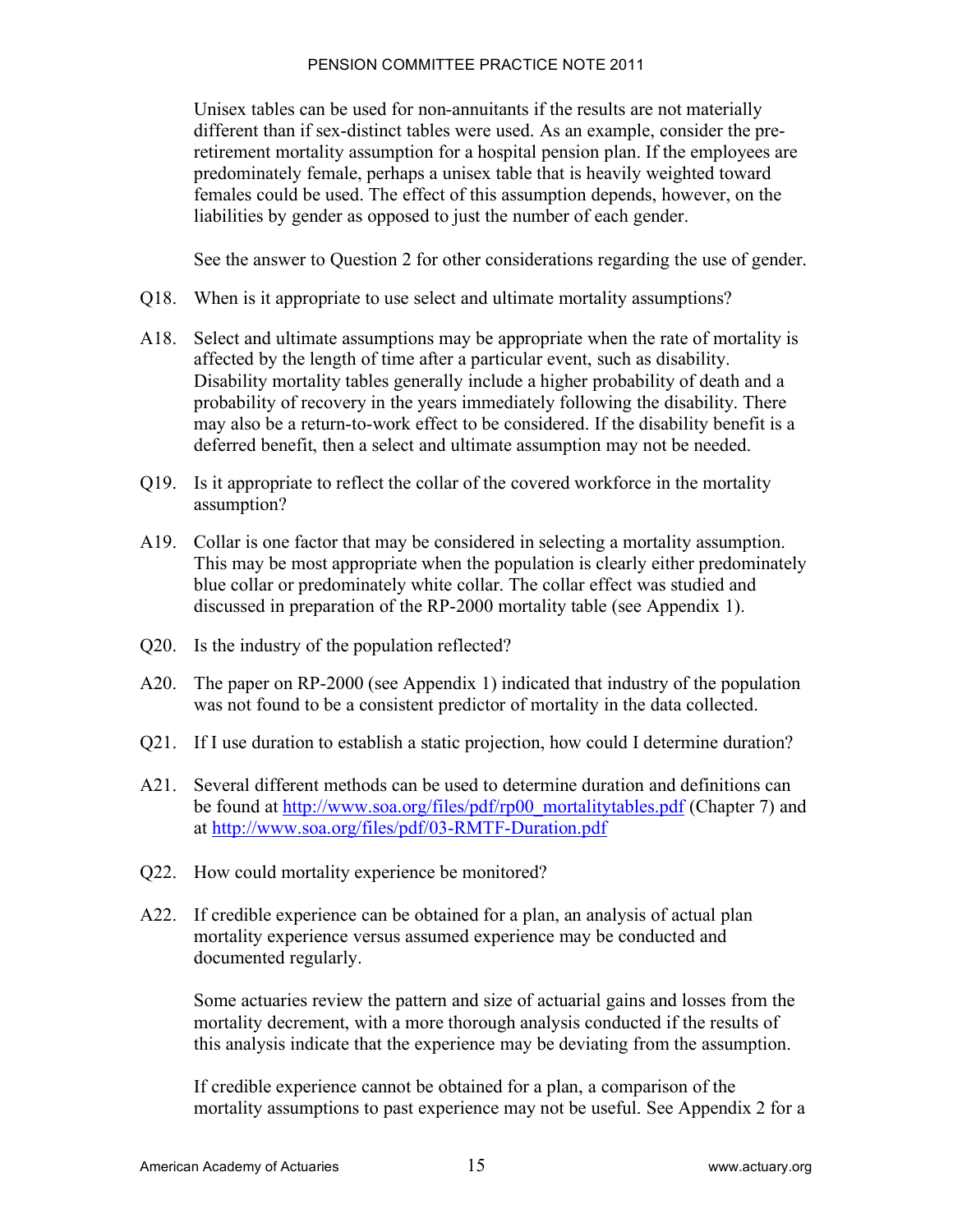Unisex tables can be used for non-annuitants if the results are not materially different than if sex-distinct tables were used. As an example, consider the preretirement mortality assumption for a hospital pension plan. If the employees are predominately female, perhaps a unisex table that is heavily weighted toward females could be used. The effect of this assumption depends, however, on the liabilities by gender as opposed to just the number of each gender.

See the answer to Question 2 for other considerations regarding the use of gender.

- Q18. When is it appropriate to use select and ultimate mortality assumptions?
- A18. Select and ultimate assumptions may be appropriate when the rate of mortality is affected by the length of time after a particular event, such as disability. Disability mortality tables generally include a higher probability of death and a probability of recovery in the years immediately following the disability. There may also be a return-to-work effect to be considered. If the disability benefit is a deferred benefit, then a select and ultimate assumption may not be needed.
- Q19. Is it appropriate to reflect the collar of the covered workforce in the mortality assumption?
- A19. Collar is one factor that may be considered in selecting a mortality assumption. This may be most appropriate when the population is clearly either predominately blue collar or predominately white collar. The collar effect was studied and discussed in preparation of the RP-2000 mortality table (see Appendix 1).
- Q20. Is the industry of the population reflected?
- A20. The paper on RP-2000 (see Appendix 1) indicated that industry of the population was not found to be a consistent predictor of mortality in the data collected.
- Q21. If I use duration to establish a static projection, how could I determine duration?
- A21. Several different methods can be used to determine duration and definitions can be found at http://www.soa.org/files/pdf/rp00\_mortalitytables.pdf (Chapter 7) and at http://www.soa.org/files/pdf/03-RMTF-Duration.pdf
- Q22. How could mortality experience be monitored?
- A22. If credible experience can be obtained for a plan, an analysis of actual plan mortality experience versus assumed experience may be conducted and documented regularly.

Some actuaries review the pattern and size of actuarial gains and losses from the mortality decrement, with a more thorough analysis conducted if the results of this analysis indicate that the experience may be deviating from the assumption.

If credible experience cannot be obtained for a plan, a comparison of the mortality assumptions to past experience may not be useful. See Appendix 2 for a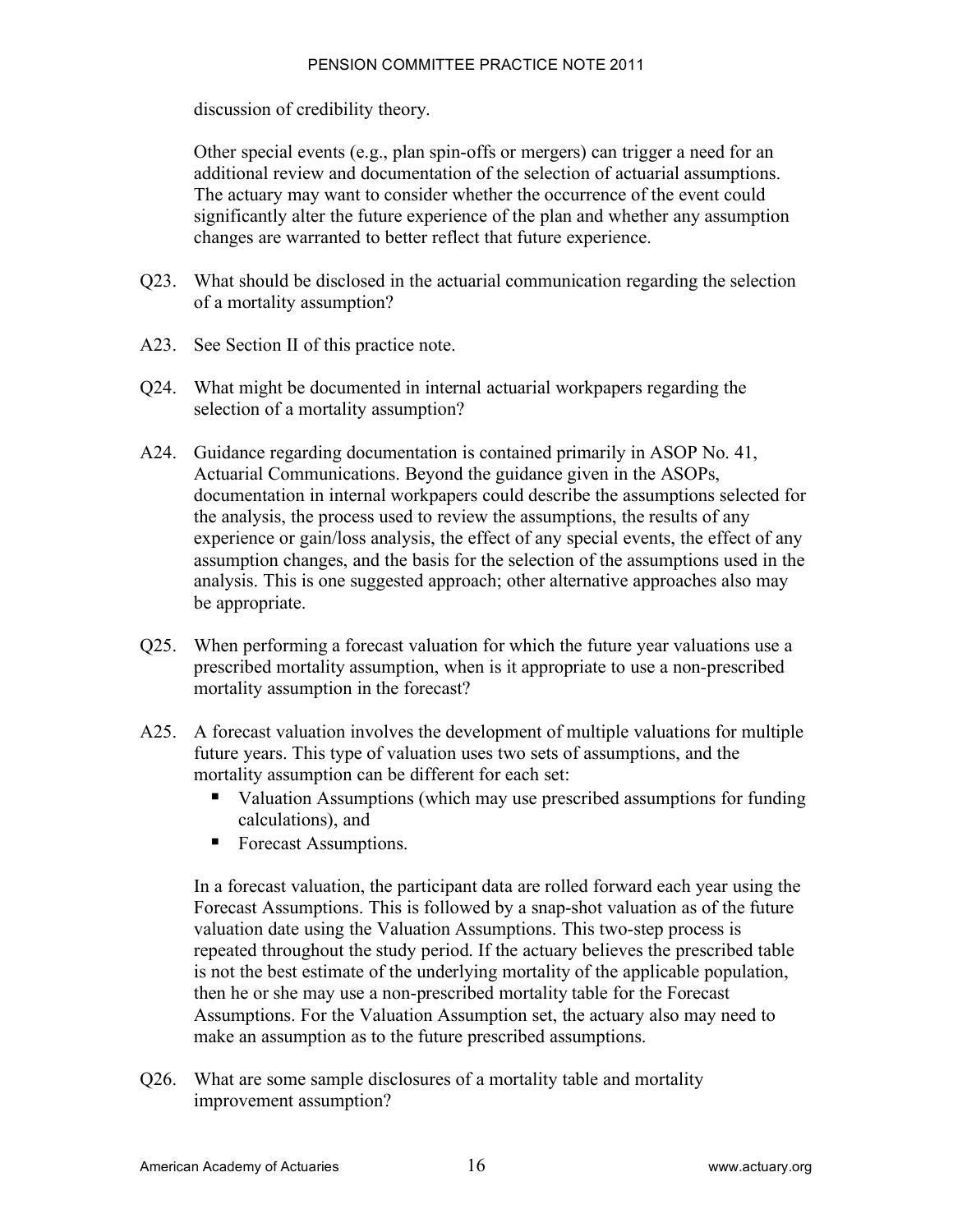discussion of credibility theory.

Other special events (e.g., plan spin-offs or mergers) can trigger a need for an additional review and documentation of the selection of actuarial assumptions. The actuary may want to consider whether the occurrence of the event could significantly alter the future experience of the plan and whether any assumption changes are warranted to better reflect that future experience.

- Q23. What should be disclosed in the actuarial communication regarding the selection of a mortality assumption?
- A23. See Section II of this practice note.
- Q24. What might be documented in internal actuarial workpapers regarding the selection of a mortality assumption?
- A24. Guidance regarding documentation is contained primarily in ASOP No. 41, Actuarial Communications. Beyond the guidance given in the ASOPs, documentation in internal workpapers could describe the assumptions selected for the analysis, the process used to review the assumptions, the results of any experience or gain/loss analysis, the effect of any special events, the effect of any assumption changes, and the basis for the selection of the assumptions used in the analysis. This is one suggested approach; other alternative approaches also may be appropriate.
- Q25. When performing a forecast valuation for which the future year valuations use a prescribed mortality assumption, when is it appropriate to use a non-prescribed mortality assumption in the forecast?
- A25. A forecast valuation involves the development of multiple valuations for multiple future years. This type of valuation uses two sets of assumptions, and the mortality assumption can be different for each set:
	- ! Valuation Assumptions (which may use prescribed assumptions for funding calculations), and
	- Forecast Assumptions.

In a forecast valuation, the participant data are rolled forward each year using the Forecast Assumptions. This is followed by a snap-shot valuation as of the future valuation date using the Valuation Assumptions. This two-step process is repeated throughout the study period. If the actuary believes the prescribed table is not the best estimate of the underlying mortality of the applicable population, then he or she may use a non-prescribed mortality table for the Forecast Assumptions. For the Valuation Assumption set, the actuary also may need to make an assumption as to the future prescribed assumptions.

Q26. What are some sample disclosures of a mortality table and mortality improvement assumption?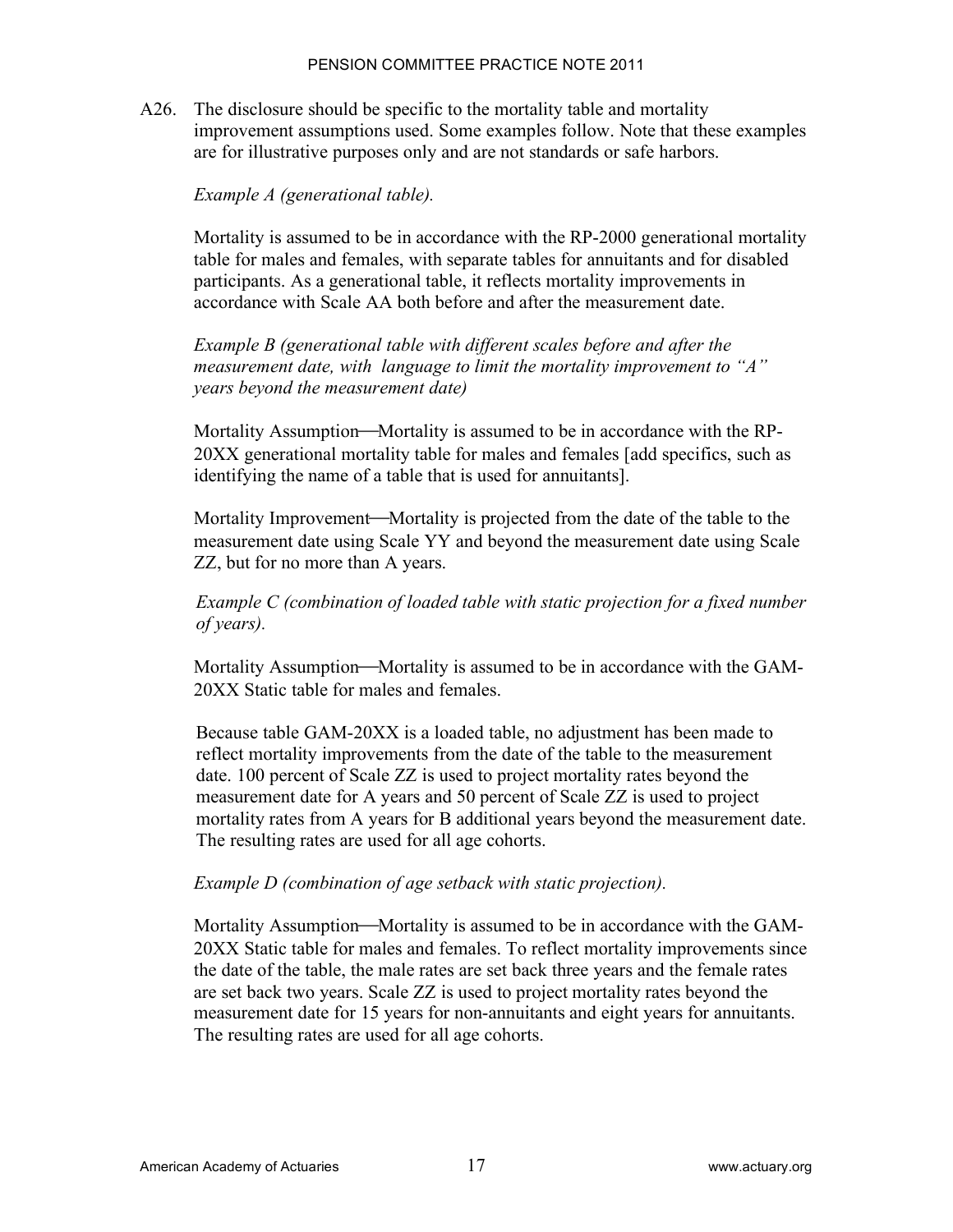A26. The disclosure should be specific to the mortality table and mortality improvement assumptions used. Some examples follow. Note that these examples are for illustrative purposes only and are not standards or safe harbors.

#### *Example A (generational table).*

Mortality is assumed to be in accordance with the RP-2000 generational mortality table for males and females, with separate tables for annuitants and for disabled participants. As a generational table, it reflects mortality improvements in accordance with Scale AA both before and after the measurement date.

*Example B (generational table with different scales before and after the measurement date, with language to limit the mortality improvement to "A" years beyond the measurement date)*

Mortality Assumption—Mortality is assumed to be in accordance with the RP-20XX generational mortality table for males and females [add specifics, such as identifying the name of a table that is used for annuitants].

Mortality Improvement—Mortality is projected from the date of the table to the measurement date using Scale YY and beyond the measurement date using Scale ZZ, but for no more than A years.

*Example C (combination of loaded table with static projection for a fixed number of years).*

Mortality Assumption—Mortality is assumed to be in accordance with the GAM-20XX Static table for males and females.

Because table GAM-20XX is a loaded table, no adjustment has been made to reflect mortality improvements from the date of the table to the measurement date. 100 percent of Scale ZZ is used to project mortality rates beyond the measurement date for A years and 50 percent of Scale ZZ is used to project mortality rates from A years for B additional years beyond the measurement date. The resulting rates are used for all age cohorts.

#### *Example D (combination of age setback with static projection).*

Mortality Assumption—Mortality is assumed to be in accordance with the GAM-20XX Static table for males and females. To reflect mortality improvements since the date of the table, the male rates are set back three years and the female rates are set back two years. Scale ZZ is used to project mortality rates beyond the measurement date for 15 years for non-annuitants and eight years for annuitants. The resulting rates are used for all age cohorts.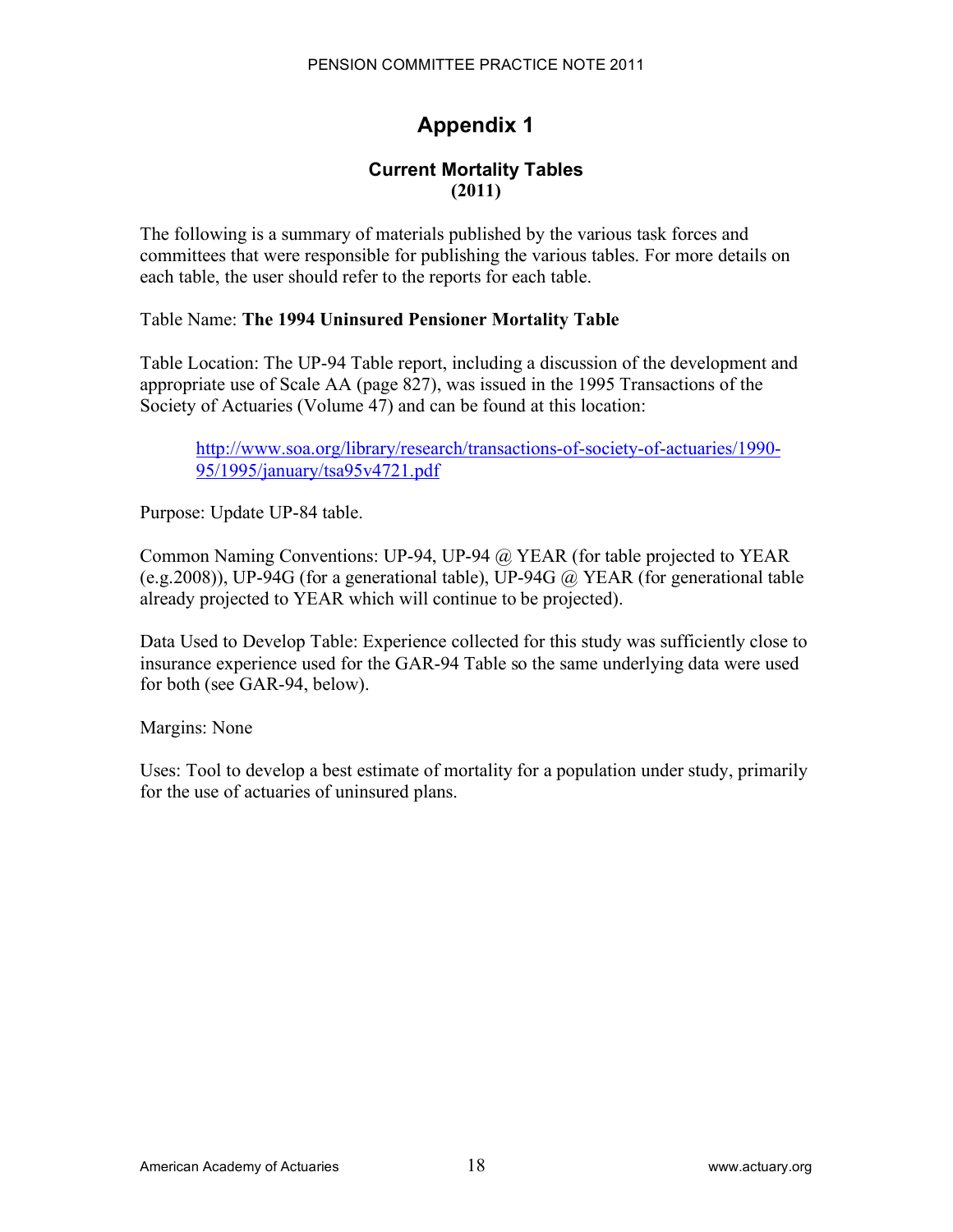# **Appendix 1**

## **Current Mortality Tables (2011)**

The following is a summary of materials published by the various task forces and committees that were responsible for publishing the various tables. For more details on each table, the user should refer to the reports for each table.

### Table Name: **The 1994 Uninsured Pensioner Mortality Table**

Table Location: The UP-94 Table report, including a discussion of the development and appropriate use of Scale AA (page 827), was issued in the 1995 Transactions of the Society of Actuaries (Volume 47) and can be found at this location:

http://www.soa.org/library/research/transactions-of-society-of-actuaries/1990- 95/1995/january/tsa95v4721.pdf

Purpose: Update UP-84 table.

Common Naming Conventions: UP-94, UP-94 @ YEAR (for table projected to YEAR (e.g.2008)), UP-94G (for a generational table), UP-94G  $\omega$ , YEAR (for generational table already projected to YEAR which will continue to be projected).

Data Used to Develop Table: Experience collected for this study was sufficiently close to insurance experience used for the GAR-94 Table so the same underlying data were used for both (see GAR-94, below).

Margins: None

Uses: Tool to develop a best estimate of mortality for a population under study, primarily for the use of actuaries of uninsured plans.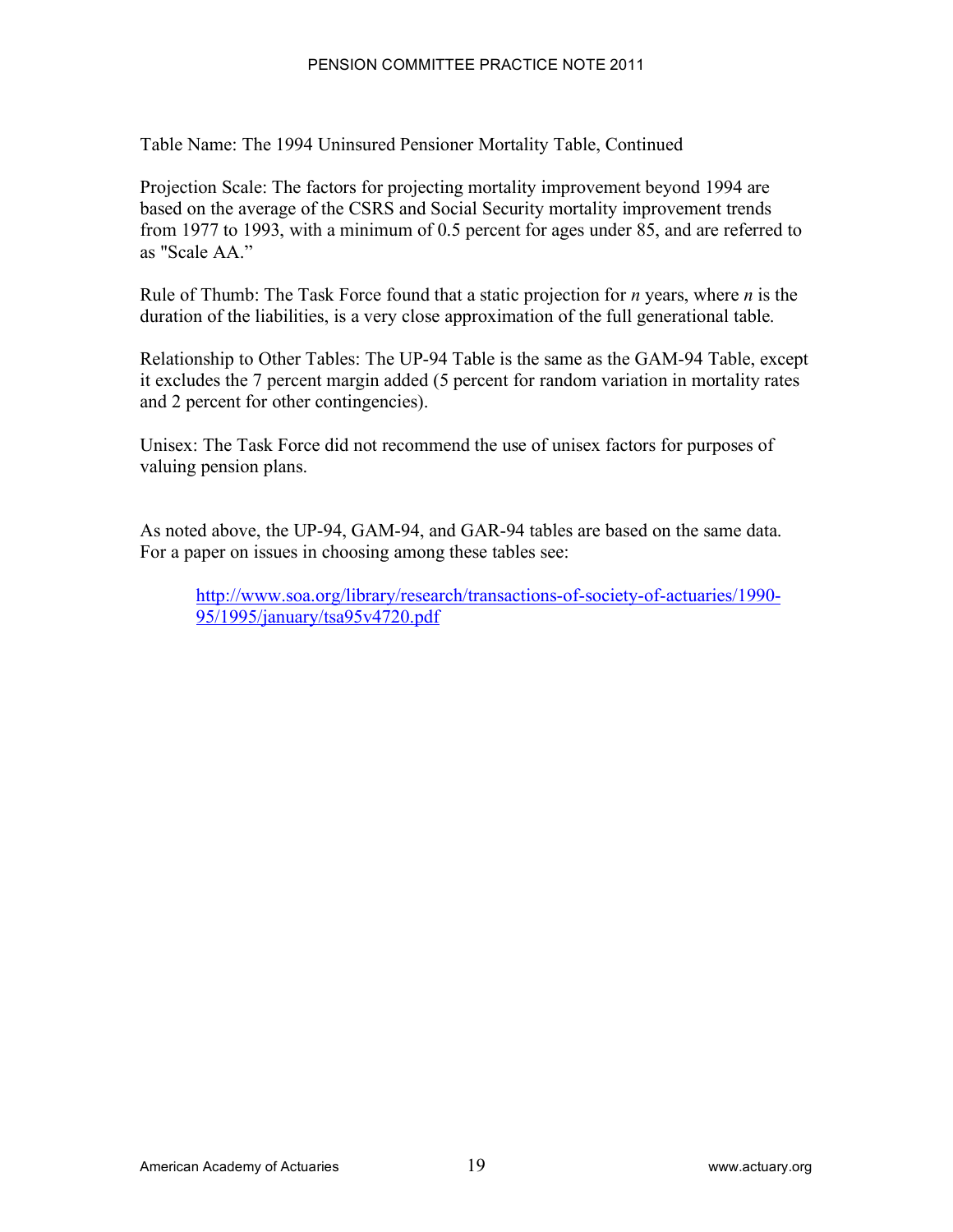Table Name: The 1994 Uninsured Pensioner Mortality Table, Continued

Projection Scale: The factors for projecting mortality improvement beyond 1994 are based on the average of the CSRS and Social Security mortality improvement trends from 1977 to 1993, with a minimum of 0.5 percent for ages under 85, and are referred to as "Scale AA"

Rule of Thumb: The Task Force found that a static projection for *n* years, where *n* is the duration of the liabilities, is a very close approximation of the full generational table.

Relationship to Other Tables: The UP-94 Table is the same as the GAM-94 Table, except it excludes the 7 percent margin added (5 percent for random variation in mortality rates and 2 percent for other contingencies).

Unisex: The Task Force did not recommend the use of unisex factors for purposes of valuing pension plans.

As noted above, the UP-94, GAM-94, and GAR-94 tables are based on the same data. For a paper on issues in choosing among these tables see:

http://www.soa.org/library/research/transactions-of-society-of-actuaries/1990- 95/1995/january/tsa95v4720.pdf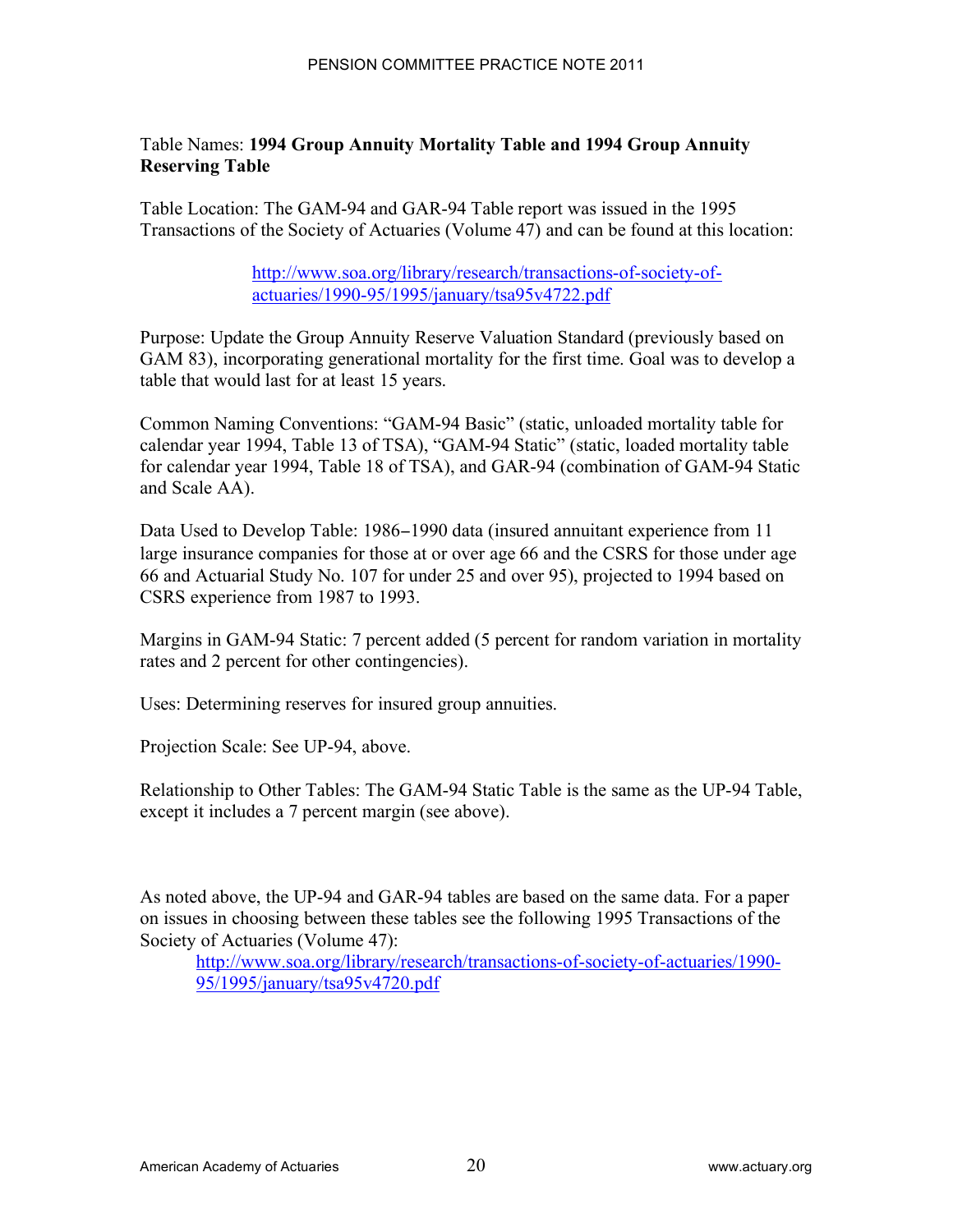## Table Names: **1994 Group Annuity Mortality Table and 1994 Group Annuity Reserving Table**

Table Location: The GAM-94 and GAR-94 Table report was issued in the 1995 Transactions of the Society of Actuaries (Volume 47) and can be found at this location:

> http://www.soa.org/library/research/transactions-of-society-ofactuaries/1990-95/1995/january/tsa95v4722.pdf

Purpose: Update the Group Annuity Reserve Valuation Standard (previously based on GAM 83), incorporating generational mortality for the first time. Goal was to develop a table that would last for at least 15 years.

Common Naming Conventions: "GAM-94 Basic" (static, unloaded mortality table for calendar year 1994, Table 13 of TSA), "GAM-94 Static" (static, loaded mortality table for calendar year 1994, Table 18 of TSA), and GAR-94 (combination of GAM-94 Static and Scale AA).

Data Used to Develop Table: 1986–1990 data (insured annuitant experience from 11 large insurance companies for those at or over age 66 and the CSRS for those under age 66 and Actuarial Study No. 107 for under 25 and over 95), projected to 1994 based on CSRS experience from 1987 to 1993.

Margins in GAM-94 Static: 7 percent added (5 percent for random variation in mortality rates and 2 percent for other contingencies).

Uses: Determining reserves for insured group annuities.

Projection Scale: See UP-94, above.

Relationship to Other Tables: The GAM-94 Static Table is the same as the UP-94 Table, except it includes a 7 percent margin (see above).

As noted above, the UP-94 and GAR-94 tables are based on the same data. For a paper on issues in choosing between these tables see the following 1995 Transactions of the Society of Actuaries (Volume 47):

http://www.soa.org/library/research/transactions-of-society-of-actuaries/1990- 95/1995/january/tsa95v4720.pdf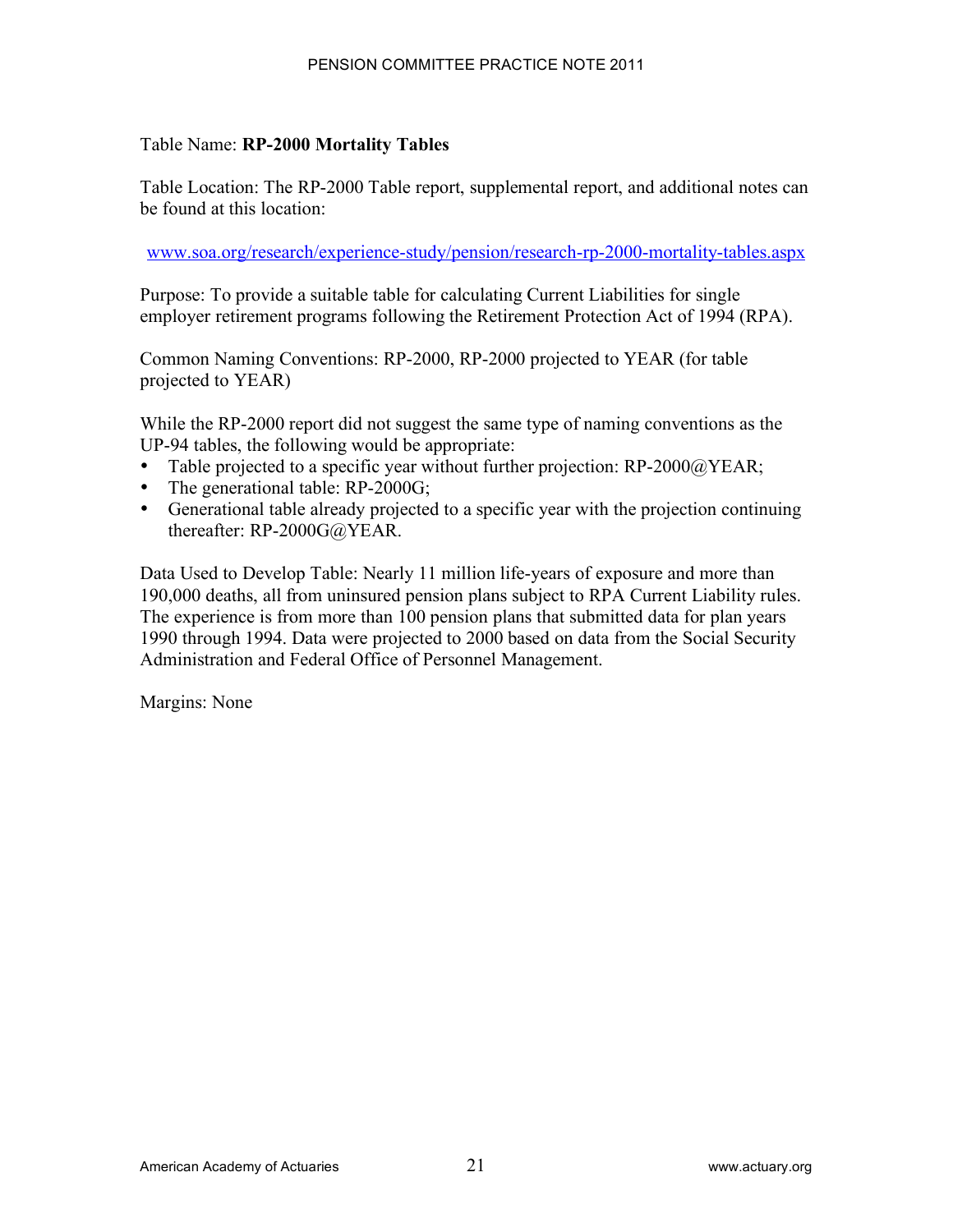#### Table Name: **RP-2000 Mortality Tables**

Table Location: The RP-2000 Table report, supplemental report, and additional notes can be found at this location:

www.soa.org/research/experience-study/pension/research-rp-2000-mortality-tables.aspx

Purpose: To provide a suitable table for calculating Current Liabilities for single employer retirement programs following the Retirement Protection Act of 1994 (RPA).

Common Naming Conventions: RP-2000, RP-2000 projected to YEAR (for table projected to YEAR)

While the RP-2000 report did not suggest the same type of naming conventions as the UP-94 tables, the following would be appropriate:

- Table projected to a specific year without further projection:  $RP-2000@YEAR$ ;
- The generational table: RP-2000G;
- Generational table already projected to a specific year with the projection continuing thereafter: RP-2000G@YEAR.

Data Used to Develop Table: Nearly 11 million life-years of exposure and more than 190,000 deaths, all from uninsured pension plans subject to RPA Current Liability rules. The experience is from more than 100 pension plans that submitted data for plan years 1990 through 1994. Data were projected to 2000 based on data from the Social Security Administration and Federal Office of Personnel Management.

Margins: None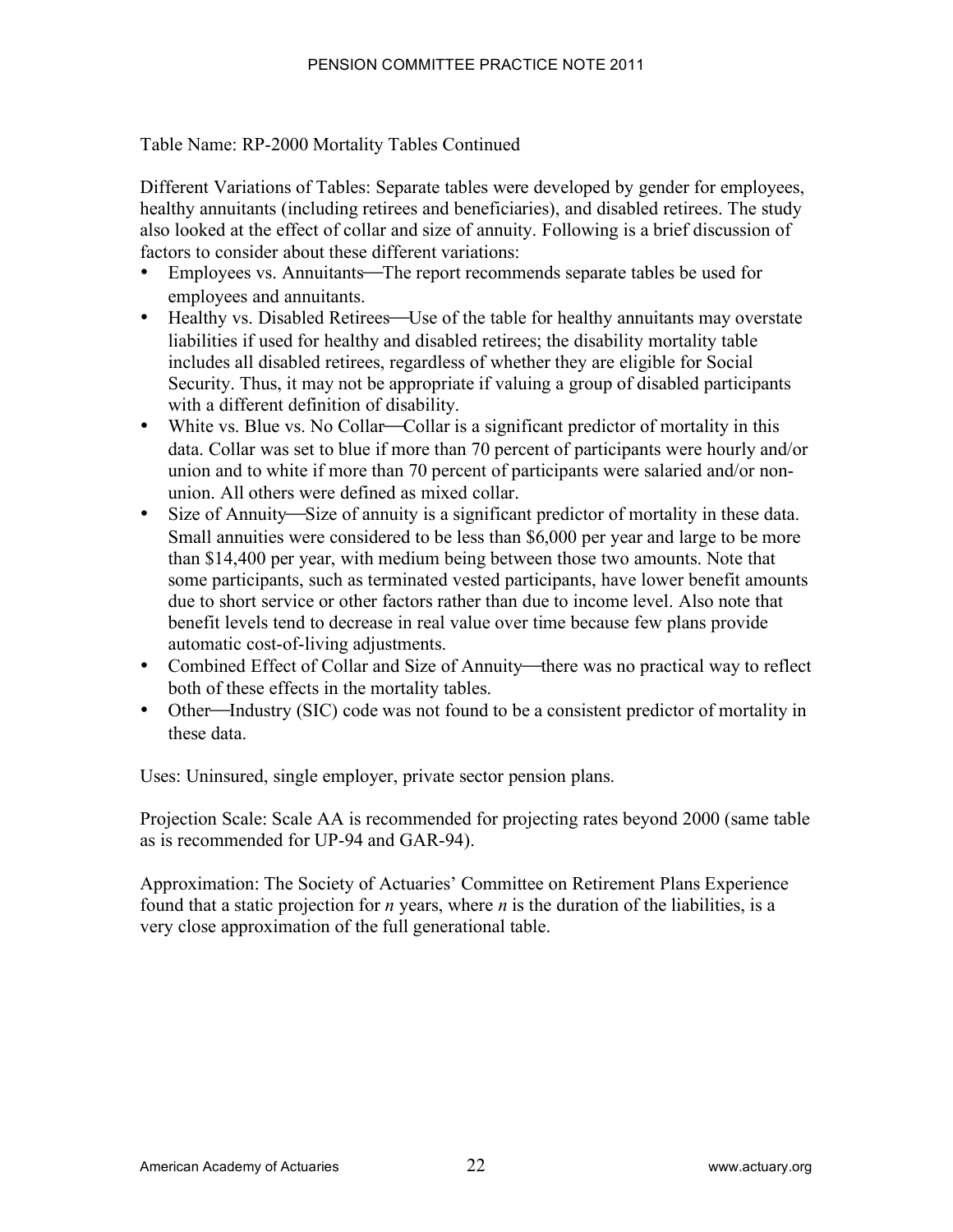Table Name: RP-2000 Mortality Tables Continued

Different Variations of Tables: Separate tables were developed by gender for employees, healthy annuitants (including retirees and beneficiaries), and disabled retirees. The study also looked at the effect of collar and size of annuity. Following is a brief discussion of factors to consider about these different variations:

- Employees vs. Annuitants—The report recommends separate tables be used for employees and annuitants.
- Healthy vs. Disabled Retirees—Use of the table for healthy annuitants may overstate liabilities if used for healthy and disabled retirees; the disability mortality table includes all disabled retirees, regardless of whether they are eligible for Social Security. Thus, it may not be appropriate if valuing a group of disabled participants with a different definition of disability.
- White vs. Blue vs. No Collar—Collar is a significant predictor of mortality in this data. Collar was set to blue if more than 70 percent of participants were hourly and/or union and to white if more than 70 percent of participants were salaried and/or nonunion. All others were defined as mixed collar.
- Size of Annuity—Size of annuity is a significant predictor of mortality in these data. Small annuities were considered to be less than \$6,000 per year and large to be more than \$14,400 per year, with medium being between those two amounts. Note that some participants, such as terminated vested participants, have lower benefit amounts due to short service or other factors rather than due to income level. Also note that benefit levels tend to decrease in real value over time because few plans provide automatic cost-of-living adjustments.
- Combined Effect of Collar and Size of Annuity—there was no practical way to reflect both of these effects in the mortality tables.
- Other—Industry (SIC) code was not found to be a consistent predictor of mortality in these data.

Uses: Uninsured, single employer, private sector pension plans.

Projection Scale: Scale AA is recommended for projecting rates beyond 2000 (same table as is recommended for UP-94 and GAR-94).

Approximation: The Society of Actuaries' Committee on Retirement Plans Experience found that a static projection for *n* years, where *n* is the duration of the liabilities, is a very close approximation of the full generational table.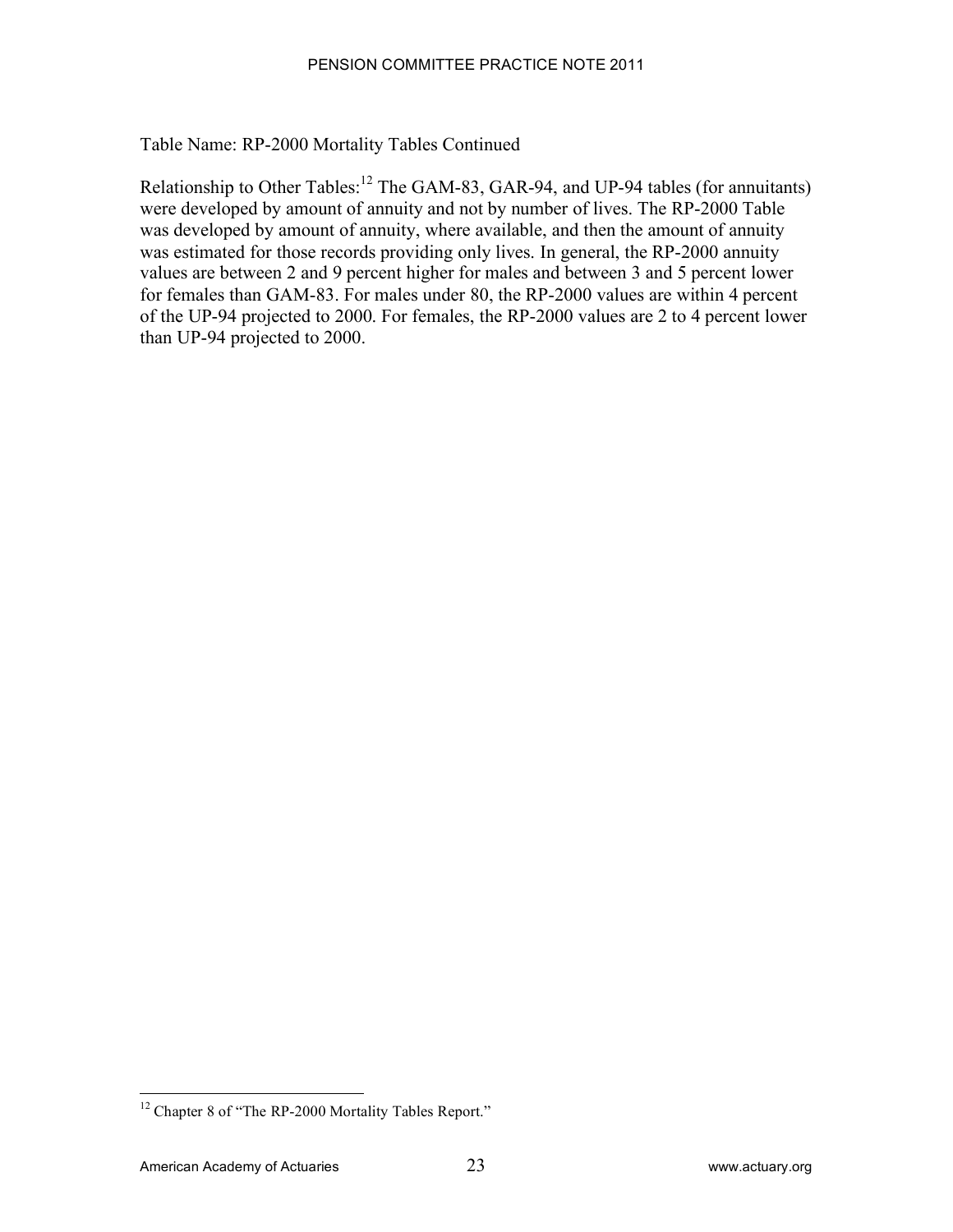Table Name: RP-2000 Mortality Tables Continued

Relationship to Other Tables:<sup>12</sup> The GAM-83, GAR-94, and UP-94 tables (for annuitants) were developed by amount of annuity and not by number of lives. The RP-2000 Table was developed by amount of annuity, where available, and then the amount of annuity was estimated for those records providing only lives. In general, the RP-2000 annuity values are between 2 and 9 percent higher for males and between 3 and 5 percent lower for females than GAM-83. For males under 80, the RP-2000 values are within 4 percent of the UP-94 projected to 2000. For females, the RP-2000 values are 2 to 4 percent lower than UP-94 projected to 2000.

<sup>&</sup>lt;sup>12</sup> Chapter 8 of "The RP-2000 Mortality Tables Report."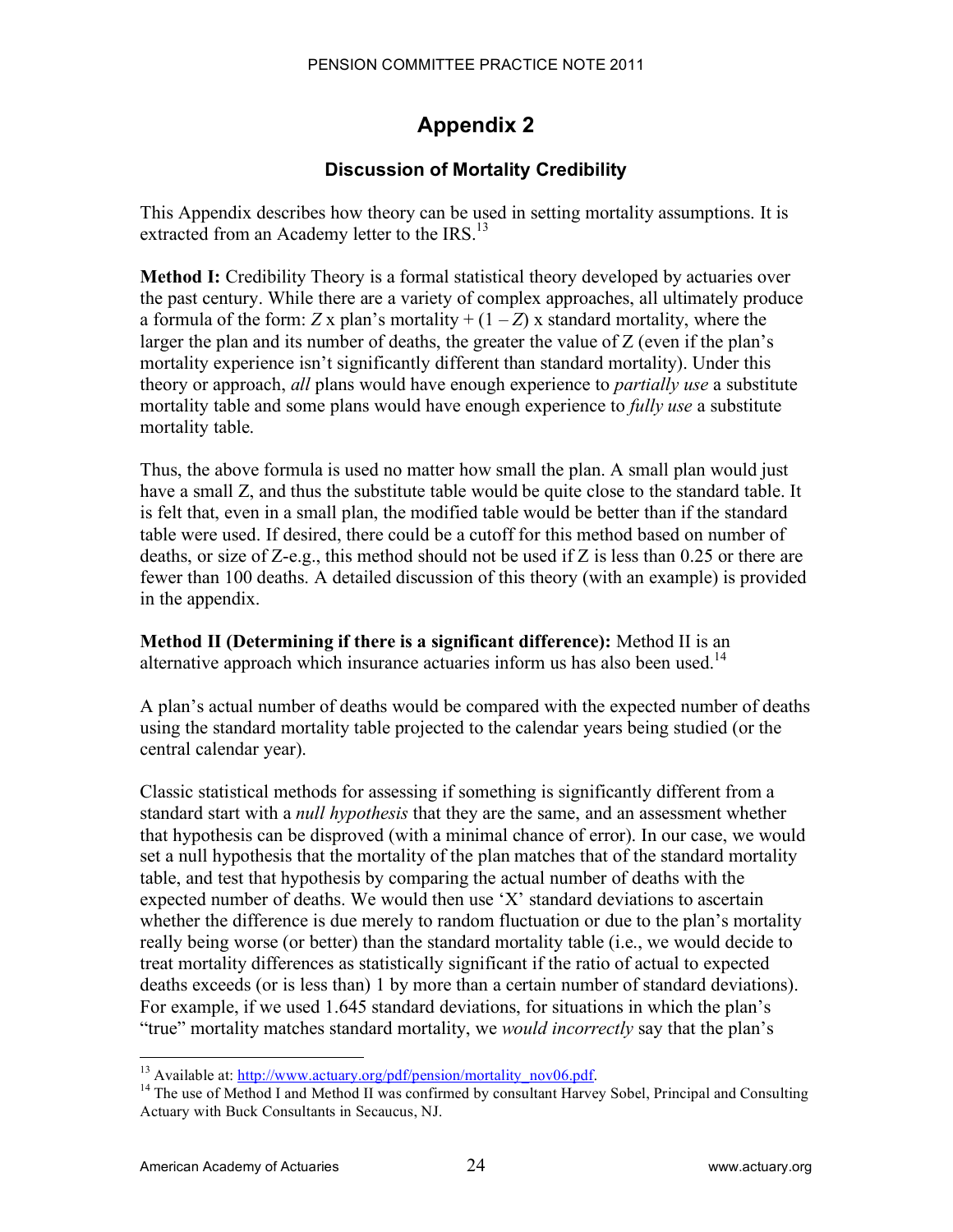# **Appendix 2**

## **Discussion of Mortality Credibility**

This Appendix describes how theory can be used in setting mortality assumptions. It is extracted from an Academy letter to the IRS.<sup>13</sup>

**Method I:** Credibility Theory is a formal statistical theory developed by actuaries over the past century. While there are a variety of complex approaches, all ultimately produce a formula of the form:  $Z \times$  plan's mortality +  $(1 – Z) \times$  standard mortality, where the larger the plan and its number of deaths, the greater the value of Z (even if the plan's mortality experience isn't significantly different than standard mortality). Under this theory or approach, *all* plans would have enough experience to *partially use* a substitute mortality table and some plans would have enough experience to *fully use* a substitute mortality table.

Thus, the above formula is used no matter how small the plan. A small plan would just have a small Z, and thus the substitute table would be quite close to the standard table. It is felt that, even in a small plan, the modified table would be better than if the standard table were used. If desired, there could be a cutoff for this method based on number of deaths, or size of Z-e.g., this method should not be used if Z is less than 0.25 or there are fewer than 100 deaths. A detailed discussion of this theory (with an example) is provided in the appendix.

**Method II (Determining if there is a significant difference):** Method II is an alternative approach which insurance actuaries inform us has also been used.<sup>14</sup>

A plan's actual number of deaths would be compared with the expected number of deaths using the standard mortality table projected to the calendar years being studied (or the central calendar year).

Classic statistical methods for assessing if something is significantly different from a standard start with a *null hypothesis* that they are the same, and an assessment whether that hypothesis can be disproved (with a minimal chance of error). In our case, we would set a null hypothesis that the mortality of the plan matches that of the standard mortality table, and test that hypothesis by comparing the actual number of deaths with the expected number of deaths. We would then use 'X' standard deviations to ascertain whether the difference is due merely to random fluctuation or due to the plan's mortality really being worse (or better) than the standard mortality table (i.e., we would decide to treat mortality differences as statistically significant if the ratio of actual to expected deaths exceeds (or is less than) 1 by more than a certain number of standard deviations). For example, if we used 1.645 standard deviations, for situations in which the plan's "true" mortality matches standard mortality, we *would incorrectly* say that the plan's

<sup>&</sup>lt;sup>13</sup> Available at:  $\frac{http://www.actuary.org/pdf/pension/mortality nov06.pdf}{14}$ <br><sup>14</sup> The use of Method I and Method II was confirmed by consultant Harvey Sobel, Principal and Consulting Actuary with Buck Consultants in Secaucus, NJ.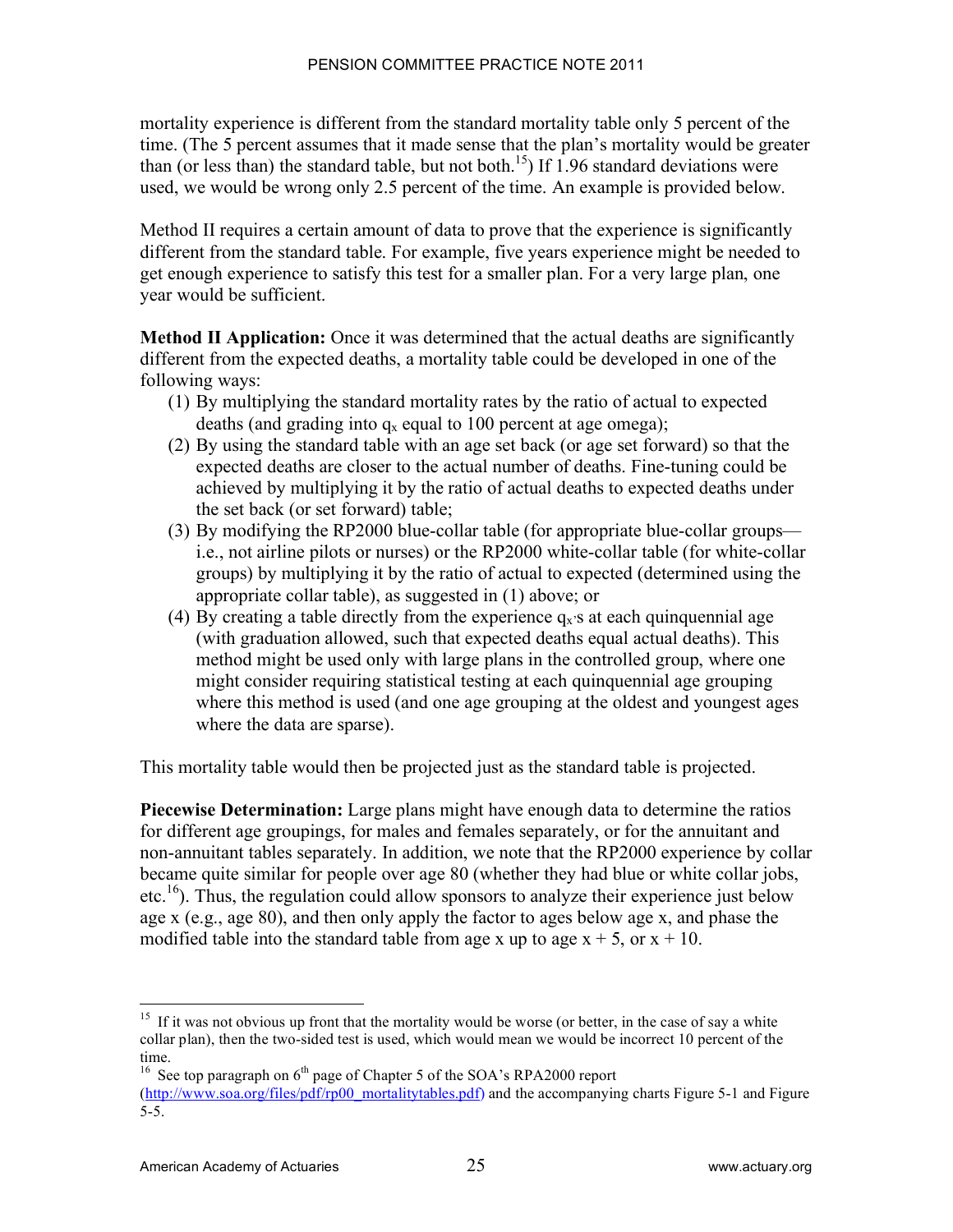mortality experience is different from the standard mortality table only 5 percent of the time. (The 5 percent assumes that it made sense that the plan's mortality would be greater than (or less than) the standard table, but not both.<sup>15</sup>) If 1.96 standard deviations were used, we would be wrong only 2.5 percent of the time. An example is provided below.

Method II requires a certain amount of data to prove that the experience is significantly different from the standard table. For example, five years experience might be needed to get enough experience to satisfy this test for a smaller plan. For a very large plan, one year would be sufficient.

**Method II Application:** Once it was determined that the actual deaths are significantly different from the expected deaths, a mortality table could be developed in one of the following ways:

- (1) By multiplying the standard mortality rates by the ratio of actual to expected deaths (and grading into  $q_x$  equal to 100 percent at age omega);
- (2) By using the standard table with an age set back (or age set forward) so that the expected deaths are closer to the actual number of deaths. Fine-tuning could be achieved by multiplying it by the ratio of actual deaths to expected deaths under the set back (or set forward) table;
- (3) By modifying the RP2000 blue-collar table (for appropriate blue-collar groups i.e., not airline pilots or nurses) or the RP2000 white-collar table (for white-collar groups) by multiplying it by the ratio of actual to expected (determined using the appropriate collar table), as suggested in (1) above; or
- (4) By creating a table directly from the experience  $q_x$ 's at each quinquennial age (with graduation allowed, such that expected deaths equal actual deaths). This method might be used only with large plans in the controlled group, where one might consider requiring statistical testing at each quinquennial age grouping where this method is used (and one age grouping at the oldest and youngest ages where the data are sparse).

This mortality table would then be projected just as the standard table is projected.

**Piecewise Determination:** Large plans might have enough data to determine the ratios for different age groupings, for males and females separately, or for the annuitant and non-annuitant tables separately. In addition, we note that the RP2000 experience by collar became quite similar for people over age 80 (whether they had blue or white collar jobs,  $etc.<sup>16</sup>$ ). Thus, the regulation could allow sponsors to analyze their experience just below age x (e.g., age 80), and then only apply the factor to ages below age x, and phase the modified table into the standard table from age x up to age  $x + 5$ , or  $x + 10$ .

<sup>&</sup>lt;sup>15</sup> If it was not obvious up front that the mortality would be worse (or better, in the case of say a white collar plan), then the two-sided test is used, which would mean we would be incorrect 10 percent of the time.

<sup>&</sup>lt;sup>16</sup> See top paragraph on  $6<sup>th</sup>$  page of Chapter 5 of the SOA's RPA2000 report (http://www.soa.org/files/pdf/rp00\_mortalitytables.pdf) and the accompanying charts Figure 5-1 and Figure 5-5.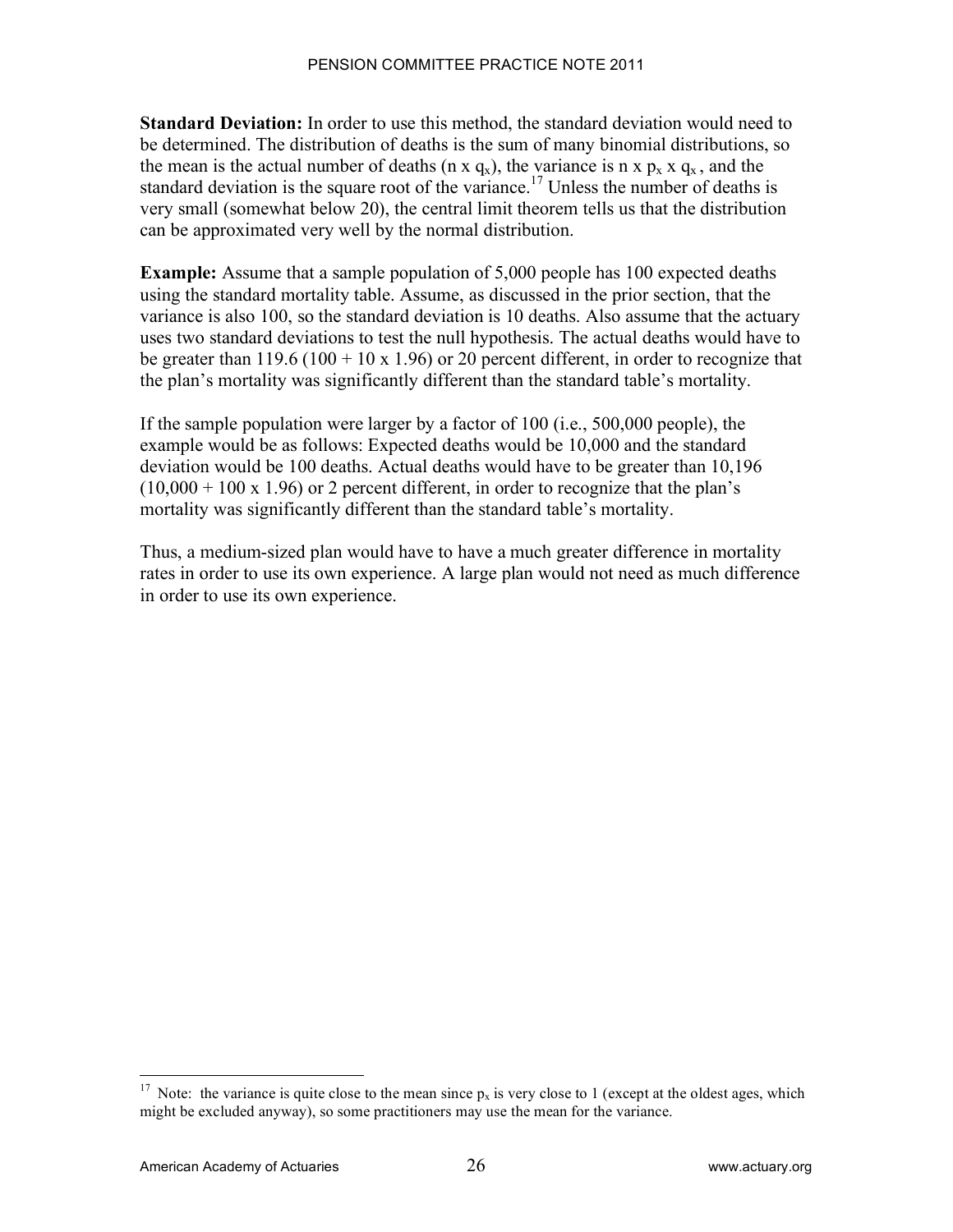**Standard Deviation:** In order to use this method, the standard deviation would need to be determined. The distribution of deaths is the sum of many binomial distributions, so the mean is the actual number of deaths (n x  $q_x$ ), the variance is n x  $p_x$  x  $q_x$ , and the standard deviation is the square root of the variance.<sup>17</sup> Unless the number of deaths is very small (somewhat below 20), the central limit theorem tells us that the distribution can be approximated very well by the normal distribution.

**Example:** Assume that a sample population of 5,000 people has 100 expected deaths using the standard mortality table. Assume, as discussed in the prior section, that the variance is also 100, so the standard deviation is 10 deaths. Also assume that the actuary uses two standard deviations to test the null hypothesis. The actual deaths would have to be greater than  $119.6 (100 + 10 \times 1.96)$  or 20 percent different, in order to recognize that the plan's mortality was significantly different than the standard table's mortality.

If the sample population were larger by a factor of 100 (i.e., 500,000 people), the example would be as follows: Expected deaths would be 10,000 and the standard deviation would be 100 deaths. Actual deaths would have to be greater than 10,196  $(10,000 + 100 \times 1.96)$  or 2 percent different, in order to recognize that the plan's mortality was significantly different than the standard table's mortality.

Thus, a medium-sized plan would have to have a much greater difference in mortality rates in order to use its own experience. A large plan would not need as much difference in order to use its own experience.

<sup>&</sup>lt;sup>17</sup> Note: the variance is quite close to the mean since  $p_x$  is very close to 1 (except at the oldest ages, which might be excluded anyway), so some practitioners may use the mean for the variance.